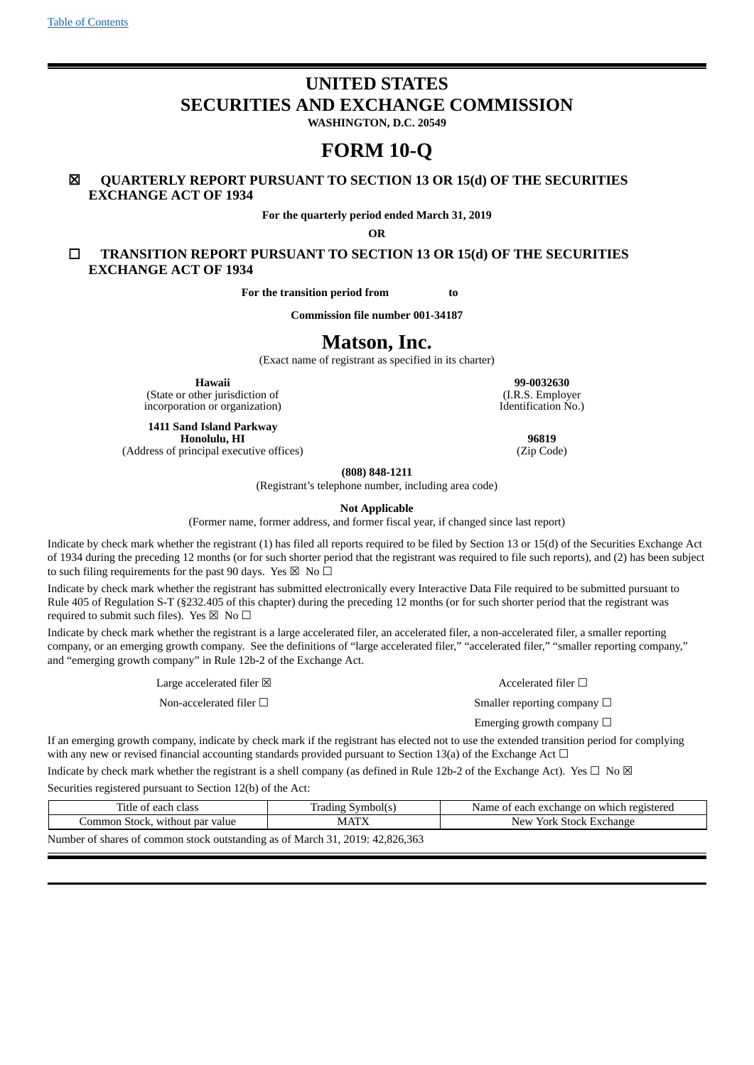# **UNITED STATES SECURITIES AND EXCHANGE COMMISSION**

**WASHINGTON, D.C. 20549**

# **FORM 10-Q**

# ☒ **QUARTERLY REPORT PURSUANT TO SECTION 13 OR 15(d) OF THE SECURITIES EXCHANGE ACT OF 1934**

**For the quarterly period ended March 31, 2019**

**OR**

# ☐ **TRANSITION REPORT PURSUANT TO SECTION 13 OR 15(d) OF THE SECURITIES EXCHANGE ACT OF 1934**

**For the transition period from to**

**Commission file number 001-34187**

# **Matson, Inc.**

(Exact name of registrant as specified in its charter)

(State or other jurisdiction of incorporation or organization)

**1411 Sand Island Parkway Honolulu, HI**

(Address of principal executive offices)

**(808) 848-1211**

(Registrant's telephone number, including area code)

**Not Applicable**

(Former name, former address, and former fiscal year, if changed since last report)

Indicate by check mark whether the registrant (1) has filed all reports required to be filed by Section 13 or 15(d) of the Securities Exchange Act of 1934 during the preceding 12 months (or for such shorter period that the registrant was required to file such reports), and (2) has been subject to such filing requirements for the past 90 days. Yes  $\boxtimes$  No  $\Box$ 

Indicate by check mark whether the registrant has submitted electronically every Interactive Data File required to be submitted pursuant to Rule 405 of Regulation S-T (§232.405 of this chapter) during the preceding 12 months (or for such shorter period that the registrant was required to submit such files). Yes  $\boxtimes$  No  $\Box$ 

Indicate by check mark whether the registrant is a large accelerated filer, an accelerated filer, a non-accelerated filer, a smaller reporting company, or an emerging growth company. See the definitions of "large accelerated filer," "accelerated filer," "smaller reporting company," and "emerging growth company" in Rule 12b-2 of the Exchange Act.

Large accelerated filer ⊠ and a set of the accelerated filer □

Non-accelerated filer □ state of the state of the Smaller reporting company □

Emerging growth company  $\Box$ 

If an emerging growth company, indicate by check mark if the registrant has elected not to use the extended transition period for complying with any new or revised financial accounting standards provided pursuant to Section 13(a) of the Exchange Act  $□$ 

Indicate by check mark whether the registrant is a shell company (as defined in Rule 12b-2 of the Exchange Act). Yes  $\Box$  No  $\boxtimes$ Securities registered pursuant to Section 12(b) of the Act:

| Title of each class                                                           | Trading Symbol(s) | Name of each exchange on which registered |
|-------------------------------------------------------------------------------|-------------------|-------------------------------------------|
| Common Stock, without par value                                               | MATX              | New York Stock Exchange                   |
| Number of shares of common stock outstanding as of March 31, 2019: 42,826,363 |                   |                                           |

**Hawaii 99-0032630** (I.R.S. Employer Identification No.)

**96819**

(Zip Code)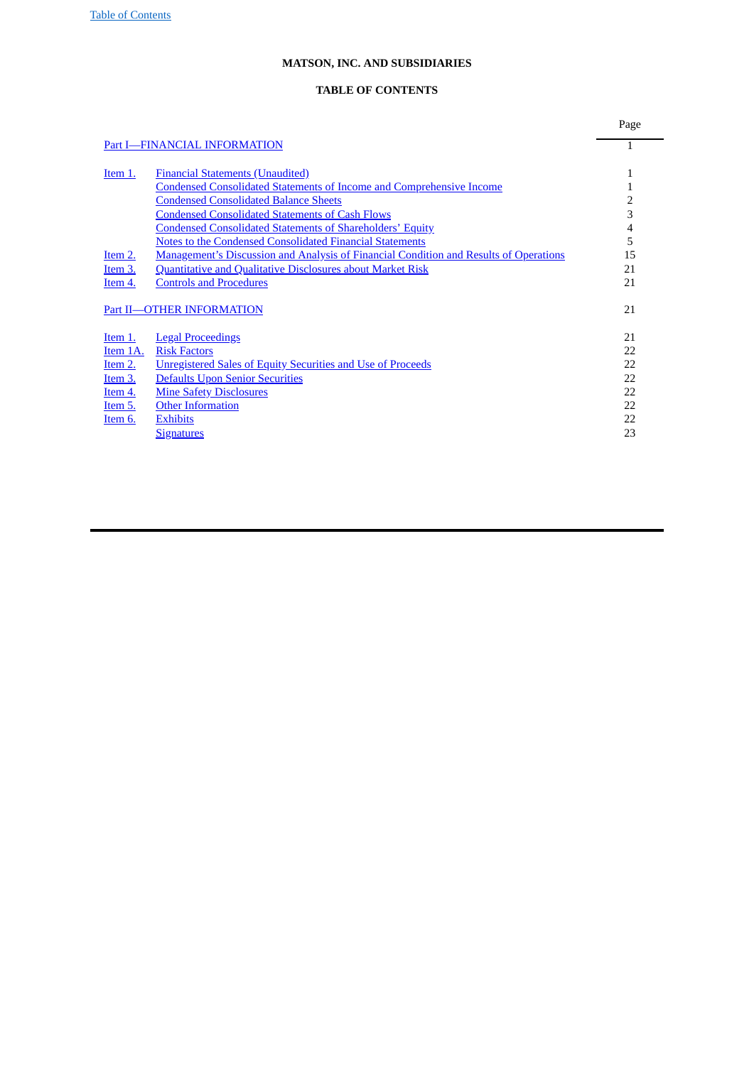# **MATSON, INC. AND SUBSIDIARIES**

# <span id="page-1-0"></span>**TABLE OF CONTENTS**

|                |                                                                                              | Page           |
|----------------|----------------------------------------------------------------------------------------------|----------------|
|                | Part I-FINANCIAL INFORMATION                                                                 | 1              |
| Item 1.        | <b>Financial Statements (Unaudited)</b>                                                      | 1              |
|                | <b>Condensed Consolidated Statements of Income and Comprehensive Income</b>                  | 1              |
|                | <b>Condensed Consolidated Balance Sheets</b>                                                 | $\overline{2}$ |
|                | <b>Condensed Consolidated Statements of Cash Flows</b>                                       | 3              |
|                | <b>Condensed Consolidated Statements of Shareholders' Equity</b>                             | 4              |
|                | Notes to the Condensed Consolidated Financial Statements                                     | 5              |
| Item 2.        | <b>Management's Discussion and Analysis of Financial Condition and Results of Operations</b> | 15             |
| Item 3.        | <b>Quantitative and Qualitative Disclosures about Market Risk</b>                            | 21             |
| Item 4.        | <b>Controls and Procedures</b>                                                               | 21             |
|                | <b>Part II-OTHER INFORMATION</b>                                                             | 21             |
| <u>Item 1.</u> | <b>Legal Proceedings</b>                                                                     | 21             |
| Item 1A.       | <b>Risk Factors</b>                                                                          | 22             |
| Item $2.$      | <b>Unregistered Sales of Equity Securities and Use of Proceeds</b>                           | 22             |
| Item 3.        | <b>Defaults Upon Senior Securities</b>                                                       | 22             |
| Item 4.        | <b>Mine Safety Disclosures</b>                                                               | 22             |
| Item 5.        | <b>Other Information</b>                                                                     | 22             |
| Item 6.        | <b>Exhibits</b>                                                                              | 22             |
|                | <b>Signatures</b>                                                                            | 23             |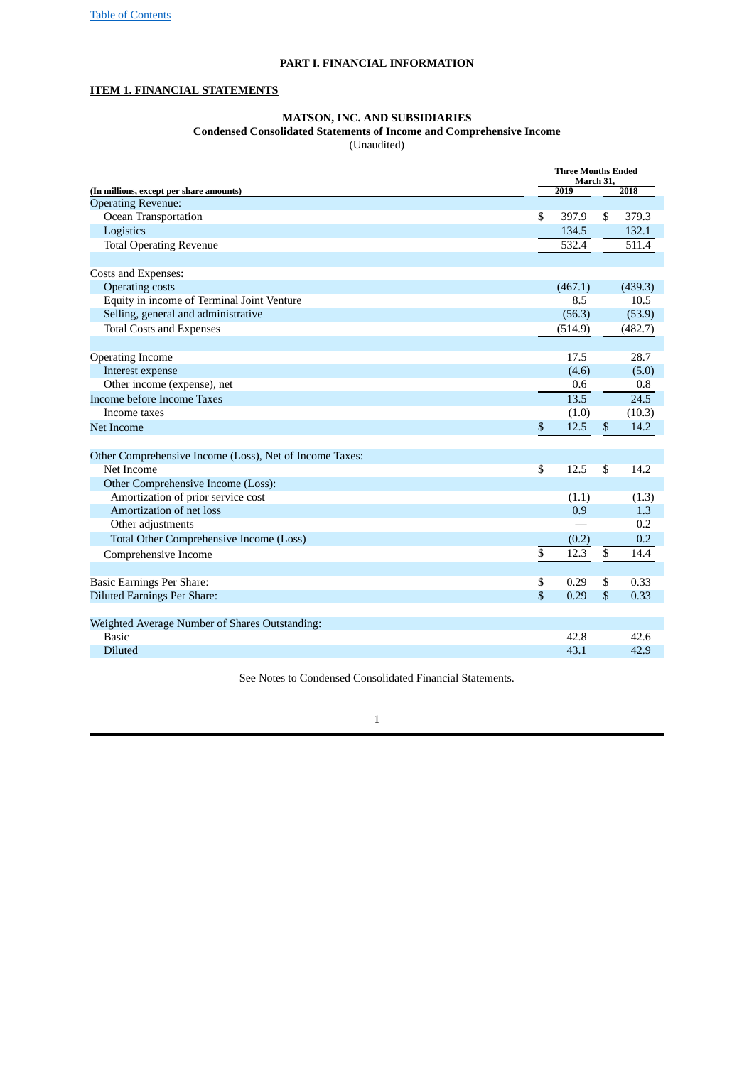# **PART I. FINANCIAL INFORMATION**

# **ITEM 1. FINANCIAL STATEMENTS**

# <span id="page-2-1"></span>**MATSON, INC. AND SUBSIDIARIES**

# **Condensed Consolidated Statements of Income and Comprehensive Income**

<span id="page-2-2"></span><span id="page-2-0"></span>(Unaudited)

|                                                         | <b>Three Months Ended</b><br>March 31, |      |         |
|---------------------------------------------------------|----------------------------------------|------|---------|
| (In millions, except per share amounts)                 | 2019                                   |      | 2018    |
| <b>Operating Revenue:</b>                               |                                        |      |         |
| Ocean Transportation                                    | \$<br>397.9                            | \$   | 379.3   |
| Logistics                                               | 134.5                                  |      | 132.1   |
| <b>Total Operating Revenue</b>                          | 532.4                                  |      | 511.4   |
|                                                         |                                        |      |         |
| Costs and Expenses:                                     |                                        |      |         |
| <b>Operating costs</b>                                  | (467.1)                                |      | (439.3) |
| Equity in income of Terminal Joint Venture              | 8.5                                    |      | 10.5    |
| Selling, general and administrative                     | (56.3)                                 |      | (53.9)  |
| <b>Total Costs and Expenses</b>                         | (514.9)                                |      | (482.7) |
|                                                         |                                        |      |         |
| <b>Operating Income</b>                                 | 17.5                                   |      | 28.7    |
| Interest expense                                        | (4.6)                                  |      | (5.0)   |
| Other income (expense), net                             | 0.6                                    |      | 0.8     |
| Income before Income Taxes                              | 13.5                                   |      | 24.5    |
| Income taxes                                            | (1.0)                                  |      | (10.3)  |
| Net Income                                              | \$<br>12.5                             | $\$$ | 14.2    |
|                                                         |                                        |      |         |
| Other Comprehensive Income (Loss), Net of Income Taxes: |                                        |      |         |
| Net Income                                              | \$<br>12.5                             | \$   | 14.2    |
| Other Comprehensive Income (Loss):                      |                                        |      |         |
| Amortization of prior service cost                      | (1.1)                                  |      | (1.3)   |
| Amortization of net loss                                | 0.9                                    |      | 1.3     |
| Other adjustments                                       |                                        |      | 0.2     |
| Total Other Comprehensive Income (Loss)                 | (0.2)                                  |      | 0.2     |
| Comprehensive Income                                    | \$<br>12.3                             | \$   | 14.4    |
|                                                         |                                        |      |         |
| <b>Basic Earnings Per Share:</b>                        | \$<br>0.29                             | S    | 0.33    |
| <b>Diluted Earnings Per Share:</b>                      | \$<br>0.29                             | \$   | 0.33    |
|                                                         |                                        |      |         |
| Weighted Average Number of Shares Outstanding:          |                                        |      |         |
| <b>Basic</b>                                            | 42.8                                   |      | 42.6    |
| <b>Diluted</b>                                          | 43.1                                   |      | 42.9    |

See Notes to Condensed Consolidated Financial Statements.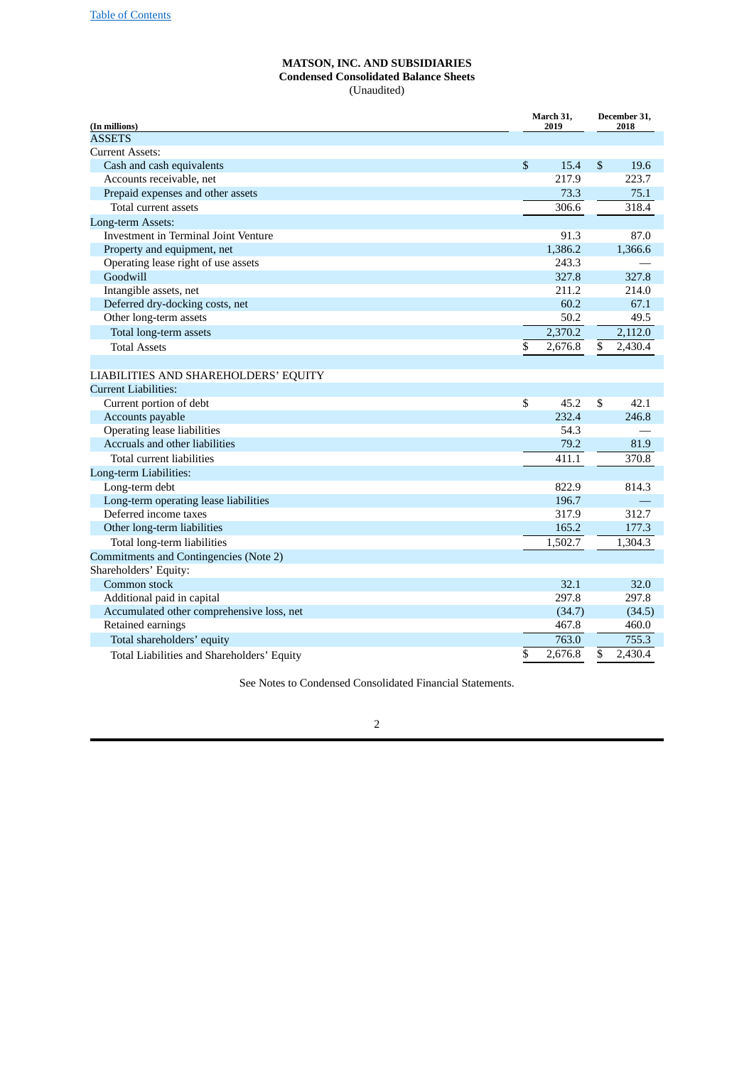#### <span id="page-3-0"></span>**MATSON, INC. AND SUBSIDIARIES Condensed Consolidated Balance Sheets** (Unaudited)

| 2019<br>(In millions)<br>2018<br><b>ASSETS</b><br><b>Current Assets:</b><br>Cash and cash equivalents<br>\$<br>19.6<br>15.4<br>\$<br>223.7<br>Accounts receivable, net<br>217.9<br>75.1<br>Prepaid expenses and other assets<br>73.3<br>306.6<br>318.4<br>Total current assets<br>Long-term Assets:<br>Investment in Terminal Joint Venture<br>87.0<br>91.3<br>1,386.2<br>Property and equipment, net<br>1,366.6<br>Operating lease right of use assets<br>243.3<br>Goodwill<br>327.8<br>327.8<br>Intangible assets, net<br>214.0<br>211.2 |
|--------------------------------------------------------------------------------------------------------------------------------------------------------------------------------------------------------------------------------------------------------------------------------------------------------------------------------------------------------------------------------------------------------------------------------------------------------------------------------------------------------------------------------------------|
|                                                                                                                                                                                                                                                                                                                                                                                                                                                                                                                                            |
|                                                                                                                                                                                                                                                                                                                                                                                                                                                                                                                                            |
|                                                                                                                                                                                                                                                                                                                                                                                                                                                                                                                                            |
|                                                                                                                                                                                                                                                                                                                                                                                                                                                                                                                                            |
|                                                                                                                                                                                                                                                                                                                                                                                                                                                                                                                                            |
|                                                                                                                                                                                                                                                                                                                                                                                                                                                                                                                                            |
|                                                                                                                                                                                                                                                                                                                                                                                                                                                                                                                                            |
|                                                                                                                                                                                                                                                                                                                                                                                                                                                                                                                                            |
|                                                                                                                                                                                                                                                                                                                                                                                                                                                                                                                                            |
|                                                                                                                                                                                                                                                                                                                                                                                                                                                                                                                                            |
|                                                                                                                                                                                                                                                                                                                                                                                                                                                                                                                                            |
|                                                                                                                                                                                                                                                                                                                                                                                                                                                                                                                                            |
| Deferred dry-docking costs, net<br>60.2<br>67.1                                                                                                                                                                                                                                                                                                                                                                                                                                                                                            |
| Other long-term assets<br>50.2<br>49.5                                                                                                                                                                                                                                                                                                                                                                                                                                                                                                     |
| Total long-term assets<br>2,370.2<br>2,112.0                                                                                                                                                                                                                                                                                                                                                                                                                                                                                               |
| \$<br>2,676.8<br>\$<br>$2,430.\overline{4}$<br><b>Total Assets</b>                                                                                                                                                                                                                                                                                                                                                                                                                                                                         |
|                                                                                                                                                                                                                                                                                                                                                                                                                                                                                                                                            |
| LIABILITIES AND SHAREHOLDERS' EQUITY                                                                                                                                                                                                                                                                                                                                                                                                                                                                                                       |
| Current Liabilities:                                                                                                                                                                                                                                                                                                                                                                                                                                                                                                                       |
| \$<br>\$<br>42.1<br>Current portion of debt<br>45.2                                                                                                                                                                                                                                                                                                                                                                                                                                                                                        |
| Accounts payable<br>232.4<br>246.8                                                                                                                                                                                                                                                                                                                                                                                                                                                                                                         |
| Operating lease liabilities<br>54.3                                                                                                                                                                                                                                                                                                                                                                                                                                                                                                        |
| Accruals and other liabilities<br>79.2<br>81.9                                                                                                                                                                                                                                                                                                                                                                                                                                                                                             |
| 411.1<br>370.8<br>Total current liabilities                                                                                                                                                                                                                                                                                                                                                                                                                                                                                                |
| Long-term Liabilities:                                                                                                                                                                                                                                                                                                                                                                                                                                                                                                                     |
| Long-term debt<br>822.9<br>814.3                                                                                                                                                                                                                                                                                                                                                                                                                                                                                                           |
| Long-term operating lease liabilities<br>196.7                                                                                                                                                                                                                                                                                                                                                                                                                                                                                             |
| Deferred income taxes<br>317.9<br>312.7                                                                                                                                                                                                                                                                                                                                                                                                                                                                                                    |
| Other long-term liabilities<br>165.2<br>177.3                                                                                                                                                                                                                                                                                                                                                                                                                                                                                              |
| 1,502.7<br>1,304.3<br>Total long-term liabilities                                                                                                                                                                                                                                                                                                                                                                                                                                                                                          |
| Commitments and Contingencies (Note 2)                                                                                                                                                                                                                                                                                                                                                                                                                                                                                                     |
| Shareholders' Equity:                                                                                                                                                                                                                                                                                                                                                                                                                                                                                                                      |
| Common stock<br>32.1<br>32.0                                                                                                                                                                                                                                                                                                                                                                                                                                                                                                               |
| 297.8<br>297.8<br>Additional paid in capital                                                                                                                                                                                                                                                                                                                                                                                                                                                                                               |
| Accumulated other comprehensive loss, net<br>(34.7)<br>(34.5)                                                                                                                                                                                                                                                                                                                                                                                                                                                                              |
| Retained earnings<br>467.8<br>460.0                                                                                                                                                                                                                                                                                                                                                                                                                                                                                                        |
| 763.0<br>755.3<br>Total shareholders' equity                                                                                                                                                                                                                                                                                                                                                                                                                                                                                               |
| \$<br>\$<br>2,676.8<br>2.430.4<br>Total Liabilities and Shareholders' Equity                                                                                                                                                                                                                                                                                                                                                                                                                                                               |

See Notes to Condensed Consolidated Financial Statements.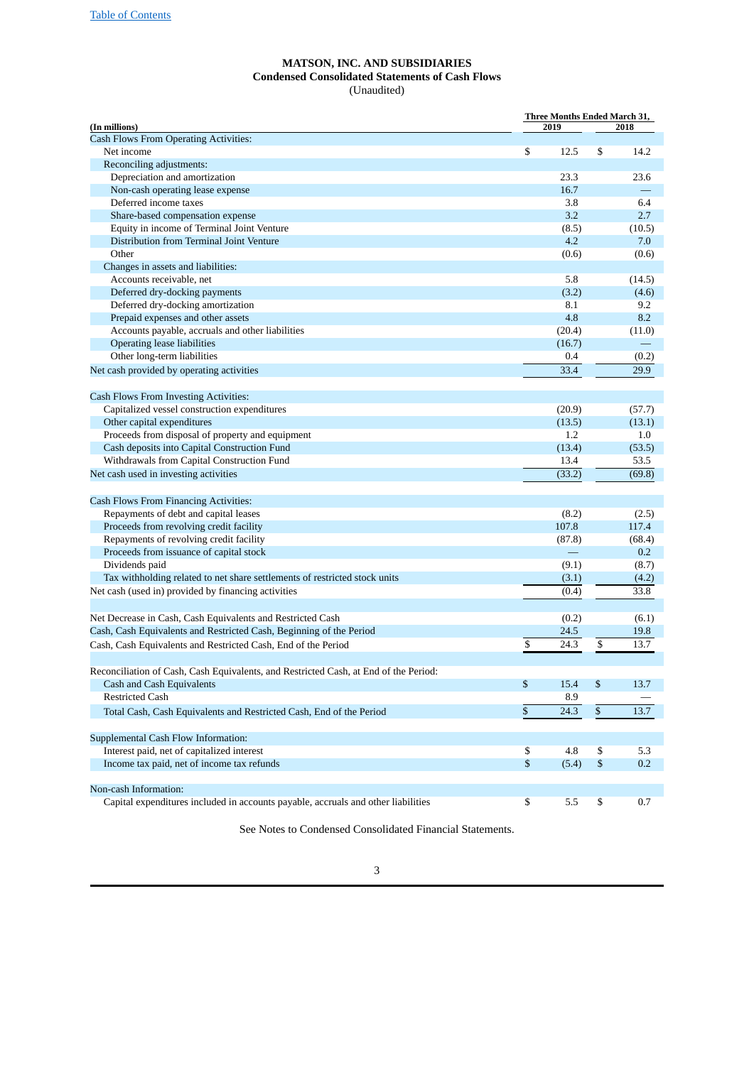## <span id="page-4-0"></span>**MATSON, INC. AND SUBSIDIARIES Condensed Consolidated Statements of Cash Flows** (Unaudited)

| (In millions)                                                                        | Three Months Ended March 31,<br>2019 |        | 2018 |            |  |
|--------------------------------------------------------------------------------------|--------------------------------------|--------|------|------------|--|
| <b>Cash Flows From Operating Activities:</b>                                         |                                      |        |      |            |  |
| Net income                                                                           | \$                                   | 12.5   | \$   | 14.2       |  |
| Reconciling adjustments:                                                             |                                      |        |      |            |  |
| Depreciation and amortization                                                        |                                      | 23.3   |      | 23.6       |  |
| Non-cash operating lease expense                                                     |                                      | 16.7   |      |            |  |
| Deferred income taxes                                                                |                                      | 3.8    |      | 6.4        |  |
| Share-based compensation expense                                                     |                                      | 3.2    |      | 2.7        |  |
| Equity in income of Terminal Joint Venture                                           |                                      | (8.5)  |      | (10.5)     |  |
| Distribution from Terminal Joint Venture                                             |                                      | 4.2    |      | 7.0        |  |
| Other                                                                                |                                      | (0.6)  |      | (0.6)      |  |
| Changes in assets and liabilities:                                                   |                                      |        |      |            |  |
| Accounts receivable, net                                                             |                                      | 5.8    |      | (14.5)     |  |
| Deferred dry-docking payments                                                        |                                      | (3.2)  |      | (4.6)      |  |
| Deferred dry-docking amortization                                                    |                                      | 8.1    |      | 9.2        |  |
| Prepaid expenses and other assets                                                    |                                      | 4.8    |      | 8.2        |  |
| Accounts payable, accruals and other liabilities                                     |                                      | (20.4) |      | (11.0)     |  |
| <b>Operating lease liabilities</b>                                                   |                                      | (16.7) |      |            |  |
| Other long-term liabilities                                                          |                                      | 0.4    |      | (0.2)      |  |
| Net cash provided by operating activities                                            |                                      | 33.4   |      | 29.9       |  |
|                                                                                      |                                      |        |      |            |  |
| Cash Flows From Investing Activities:                                                |                                      |        |      |            |  |
| Capitalized vessel construction expenditures                                         |                                      | (20.9) |      | (57.7)     |  |
| Other capital expenditures                                                           |                                      | (13.5) |      | (13.1)     |  |
| Proceeds from disposal of property and equipment                                     |                                      | 1.2    |      | 1.0        |  |
| Cash deposits into Capital Construction Fund                                         |                                      | (13.4) |      | (53.5)     |  |
| Withdrawals from Capital Construction Fund                                           |                                      | 13.4   |      | 53.5       |  |
| Net cash used in investing activities                                                |                                      | (33.2) |      | (69.8)     |  |
|                                                                                      |                                      |        |      |            |  |
| <b>Cash Flows From Financing Activities:</b>                                         |                                      |        |      |            |  |
| Repayments of debt and capital leases                                                |                                      | (8.2)  |      | (2.5)      |  |
| Proceeds from revolving credit facility                                              |                                      | 107.8  |      | 117.4      |  |
| Repayments of revolving credit facility                                              |                                      | (87.8) |      | (68.4)     |  |
| Proceeds from issuance of capital stock                                              |                                      |        |      | 0.2        |  |
| Dividends paid                                                                       |                                      | (9.1)  |      | (8.7)      |  |
| Tax withholding related to net share settlements of restricted stock units           |                                      | (3.1)  |      | (4.2)      |  |
| Net cash (used in) provided by financing activities                                  |                                      | (0.4)  |      | 33.8       |  |
|                                                                                      |                                      |        |      |            |  |
| Net Decrease in Cash, Cash Equivalents and Restricted Cash                           |                                      | (0.2)  |      | (6.1)      |  |
| Cash, Cash Equivalents and Restricted Cash, Beginning of the Period                  |                                      | 24.5   |      | 19.8       |  |
| Cash, Cash Equivalents and Restricted Cash, End of the Period                        | \$                                   | 24.3   | \$   | 13.7       |  |
|                                                                                      |                                      |        |      |            |  |
| Reconciliation of Cash, Cash Equivalents, and Restricted Cash, at End of the Period: |                                      |        |      |            |  |
| Cash and Cash Equivalents                                                            | \$                                   | 15.4   | \$   | 13.7       |  |
| <b>Restricted Cash</b>                                                               |                                      | 8.9    |      |            |  |
| Total Cash, Cash Equivalents and Restricted Cash, End of the Period                  | \$                                   | 24.3   | \$   | 13.7       |  |
|                                                                                      |                                      |        |      |            |  |
| Supplemental Cash Flow Information:                                                  |                                      |        |      |            |  |
|                                                                                      |                                      |        |      |            |  |
| Interest paid, net of capitalized interest                                           | \$<br>\$                             | 4.8    | \$   | 5.3<br>0.2 |  |
| Income tax paid, net of income tax refunds                                           |                                      | (5.4)  | \$   |            |  |
| Non-cash Information:                                                                |                                      |        |      |            |  |
| Capital expenditures included in accounts payable, accruals and other liabilities    | \$                                   | 5.5    | \$   | 0.7        |  |
|                                                                                      |                                      |        |      |            |  |

See Notes to Condensed Consolidated Financial Statements.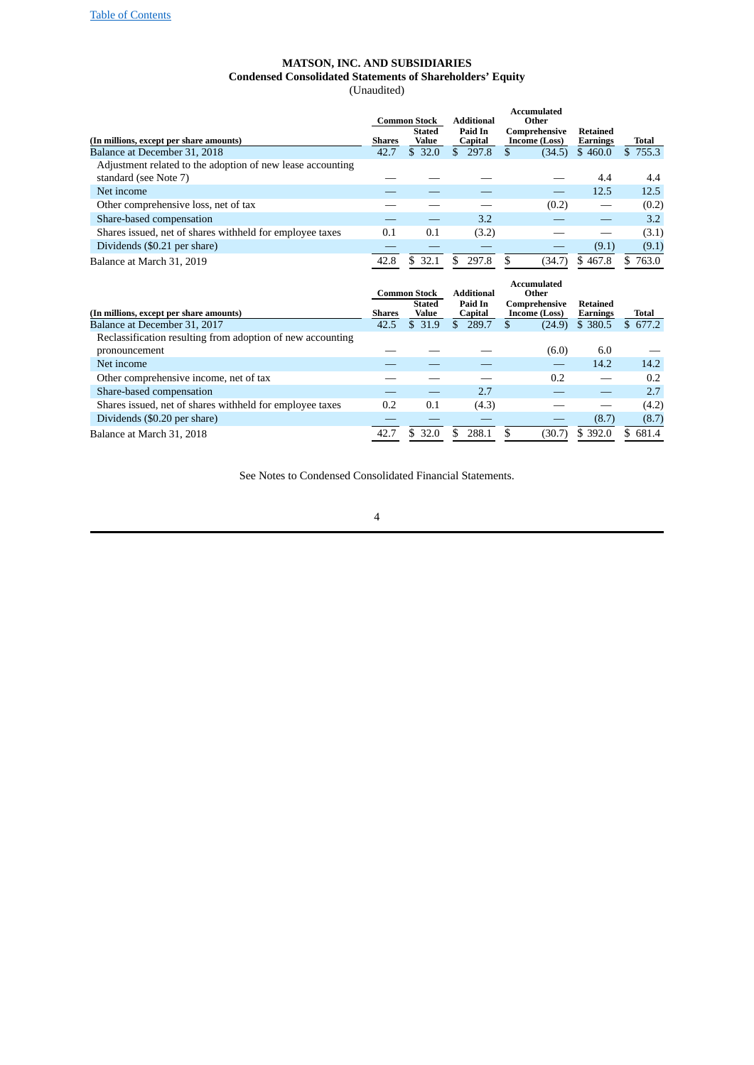#### <span id="page-5-0"></span>**MATSON, INC. AND SUBSIDIARIES Condensed Consolidated Statements of Shareholders' Equity** (Unaudited)

|                                                                                     |                | <b>Common Stock</b>                     | <b>Additional</b>                 | Accumulated<br>Other                     |                                        |                  |
|-------------------------------------------------------------------------------------|----------------|-----------------------------------------|-----------------------------------|------------------------------------------|----------------------------------------|------------------|
| (In millions, except per share amounts)<br>Balance at December 31, 2018             | Shares<br>42.7 | <b>Stated</b><br><b>Value</b><br>\$32.0 | Paid In<br>Capital<br>297.8<br>\$ | Comprehensive<br>Income (Loss)<br>(34.5) | Retained<br><b>Earnings</b><br>\$460.0 | Total<br>\$755.3 |
| Adjustment related to the adoption of new lease accounting<br>standard (see Note 7) |                |                                         |                                   |                                          | 4.4                                    | 4.4              |
| Net income                                                                          |                |                                         |                                   |                                          | 12.5                                   | 12.5             |
| Other comprehensive loss, net of tax                                                |                |                                         |                                   | (0.2)                                    |                                        | (0.2)            |
| Share-based compensation                                                            |                |                                         | 3.2                               |                                          |                                        | 3.2              |
| Shares issued, net of shares withheld for employee taxes                            | 0.1            | 0.1                                     | (3.2)                             |                                          |                                        | (3.1)            |
| Dividends (\$0.21 per share)                                                        |                |                                         |                                   |                                          | (9.1)                                  | (9.1)            |
| Balance at March 31, 2019                                                           | 42.8           | $\mathcal{S}$<br>32.1                   | 297.8                             | (34.7                                    | \$467.8                                | 763.0            |

| (In millions, except per share amounts)                                     | <b>Shares</b> | <b>Common Stock</b><br><b>Stated</b><br>Value | <b>Additional</b><br>Paid In<br>Capital | Accumulated<br>Other<br>Comprehensive<br><b>Income (Loss)</b> | Retained<br><b>Earnings</b> | Total   |
|-----------------------------------------------------------------------------|---------------|-----------------------------------------------|-----------------------------------------|---------------------------------------------------------------|-----------------------------|---------|
| Balance at December 31, 2017                                                | 42.5          | \$31.9                                        | 289.7<br>\$                             | (24.9)                                                        | \$ 380.5                    | \$677.2 |
| Reclassification resulting from adoption of new accounting<br>pronouncement |               |                                               |                                         | (6.0)                                                         | 6.0                         |         |
| Net income                                                                  |               |                                               |                                         |                                                               | 14.2                        | 14.2    |
| Other comprehensive income, net of tax                                      |               |                                               |                                         | 0.2                                                           |                             | 0.2     |
| Share-based compensation                                                    |               |                                               | 2.7                                     |                                                               |                             | 2.7     |
| Shares issued, net of shares withheld for employee taxes                    | 0.2           | 0.1                                           | (4.3)                                   |                                                               |                             | (4.2)   |
| Dividends (\$0.20 per share)                                                |               |                                               |                                         |                                                               | (8.7)                       | (8.7)   |
| Balance at March 31, 2018                                                   | 42.7          | 32.0                                          | 288.1                                   | (30.7)                                                        | 392.0                       | 681.4   |

See Notes to Condensed Consolidated Financial Statements.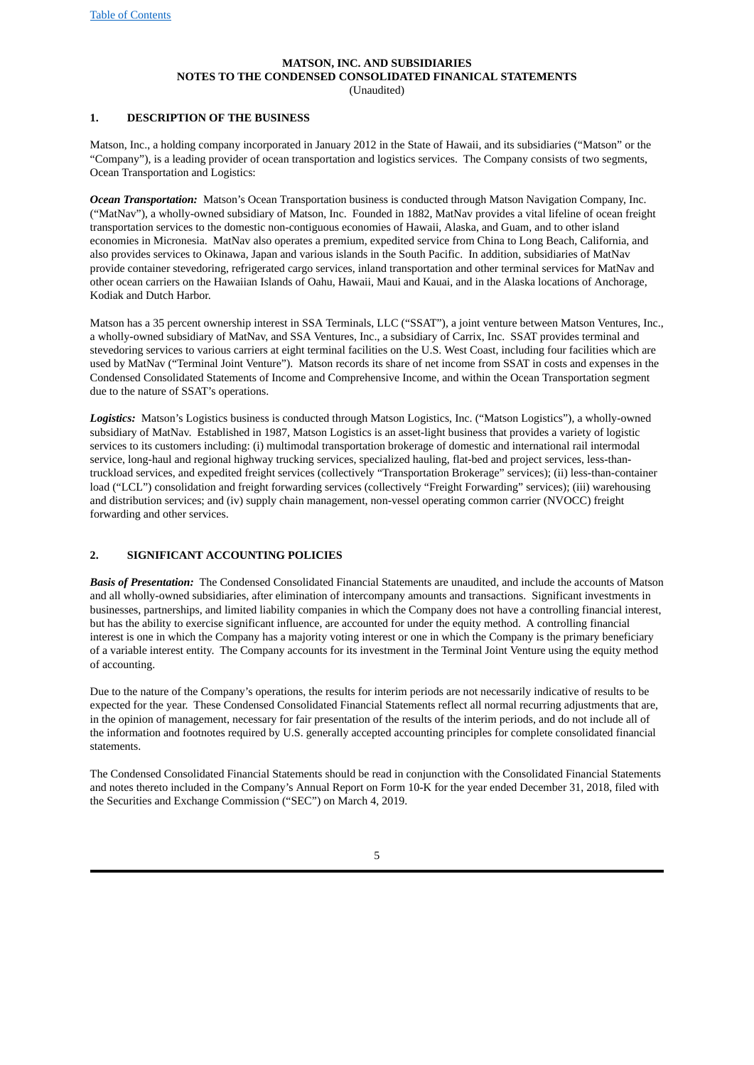#### **MATSON, INC. AND SUBSIDIARIES NOTES TO THE CONDENSED CONSOLIDATED FINANICAL STATEMENTS** (Unaudited)

<span id="page-6-0"></span>

## **1. DESCRIPTION OF THE BUSINESS**

Matson, Inc., a holding company incorporated in January 2012 in the State of Hawaii, and its subsidiaries ("Matson" or the "Company"), is a leading provider of ocean transportation and logistics services. The Company consists of two segments, Ocean Transportation and Logistics:

*Ocean Transportation:* Matson's Ocean Transportation business is conducted through Matson Navigation Company, Inc. ("MatNav"), a wholly-owned subsidiary of Matson, Inc. Founded in 1882, MatNav provides a vital lifeline of ocean freight transportation services to the domestic non-contiguous economies of Hawaii, Alaska, and Guam, and to other island economies in Micronesia. MatNav also operates a premium, expedited service from China to Long Beach, California, and also provides services to Okinawa, Japan and various islands in the South Pacific. In addition, subsidiaries of MatNav provide container stevedoring, refrigerated cargo services, inland transportation and other terminal services for MatNav and other ocean carriers on the Hawaiian Islands of Oahu, Hawaii, Maui and Kauai, and in the Alaska locations of Anchorage, Kodiak and Dutch Harbor.

Matson has a 35 percent ownership interest in SSA Terminals, LLC ("SSAT"), a joint venture between Matson Ventures, Inc., a wholly-owned subsidiary of MatNav, and SSA Ventures, Inc., a subsidiary of Carrix, Inc. SSAT provides terminal and stevedoring services to various carriers at eight terminal facilities on the U.S. West Coast, including four facilities which are used by MatNav ("Terminal Joint Venture"). Matson records its share of net income from SSAT in costs and expenses in the Condensed Consolidated Statements of Income and Comprehensive Income, and within the Ocean Transportation segment due to the nature of SSAT's operations.

*Logistics:* Matson's Logistics business is conducted through Matson Logistics, Inc. ("Matson Logistics"), a wholly-owned subsidiary of MatNav. Established in 1987, Matson Logistics is an asset-light business that provides a variety of logistic services to its customers including: (i) multimodal transportation brokerage of domestic and international rail intermodal service, long-haul and regional highway trucking services, specialized hauling, flat-bed and project services, less-thantruckload services, and expedited freight services (collectively "Transportation Brokerage" services); (ii) less-than-container load ("LCL") consolidation and freight forwarding services (collectively "Freight Forwarding" services); (iii) warehousing and distribution services; and (iv) supply chain management, non-vessel operating common carrier (NVOCC) freight forwarding and other services.

## **2. SIGNIFICANT ACCOUNTING POLICIES**

*Basis of Presentation:* The Condensed Consolidated Financial Statements are unaudited, and include the accounts of Matson and all wholly-owned subsidiaries, after elimination of intercompany amounts and transactions. Significant investments in businesses, partnerships, and limited liability companies in which the Company does not have a controlling financial interest, but has the ability to exercise significant influence, are accounted for under the equity method. A controlling financial interest is one in which the Company has a majority voting interest or one in which the Company is the primary beneficiary of a variable interest entity. The Company accounts for its investment in the Terminal Joint Venture using the equity method of accounting.

Due to the nature of the Company's operations, the results for interim periods are not necessarily indicative of results to be expected for the year. These Condensed Consolidated Financial Statements reflect all normal recurring adjustments that are, in the opinion of management, necessary for fair presentation of the results of the interim periods, and do not include all of the information and footnotes required by U.S. generally accepted accounting principles for complete consolidated financial statements.

The Condensed Consolidated Financial Statements should be read in conjunction with the Consolidated Financial Statements and notes thereto included in the Company's Annual Report on Form 10-K for the year ended December 31, 2018, filed with the Securities and Exchange Commission ("SEC") on March 4, 2019.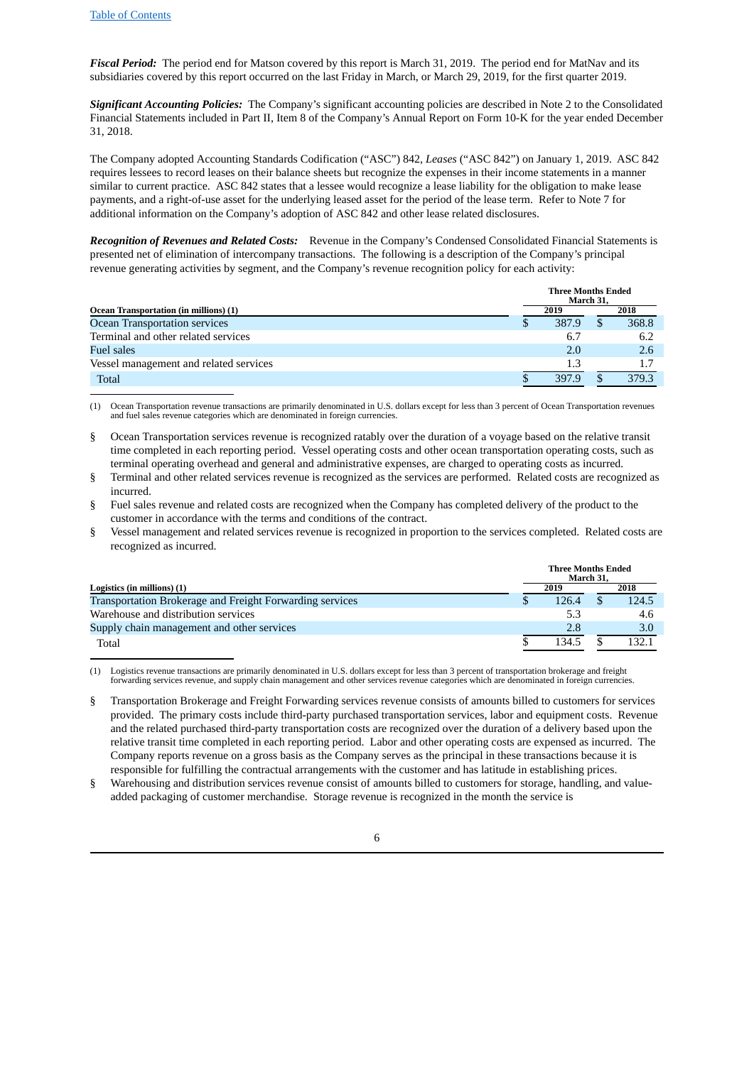*Fiscal Period:* The period end for Matson covered by this report is March 31, 2019. The period end for MatNav and its subsidiaries covered by this report occurred on the last Friday in March, or March 29, 2019, for the first quarter 2019.

*Significant Accounting Policies:* The Company's significant accounting policies are described in Note 2 to the Consolidated Financial Statements included in Part II, Item 8 of the Company's Annual Report on Form 10-K for the year ended December 31, 2018.

The Company adopted Accounting Standards Codification ("ASC") 842, *Leases* ("ASC 842") on January 1, 2019. ASC 842 requires lessees to record leases on their balance sheets but recognize the expenses in their income statements in a manner similar to current practice. ASC 842 states that a lessee would recognize a lease liability for the obligation to make lease payments, and a right-of-use asset for the underlying leased asset for the period of the lease term. Refer to Note 7 for additional information on the Company's adoption of ASC 842 and other lease related disclosures.

*Recognition of Revenues and Related Costs:* Revenue in the Company's Condensed Consolidated Financial Statements is presented net of elimination of intercompany transactions. The following is a description of the Company's principal revenue generating activities by segment, and the Company's revenue recognition policy for each activity:

|                                        |   | <b>Three Months Ended</b><br>March 31. |  |       |  |
|----------------------------------------|---|----------------------------------------|--|-------|--|
| Ocean Transportation (in millions) (1) |   | 2019                                   |  | 2018  |  |
| <b>Ocean Transportation services</b>   | æ | 387.9                                  |  | 368.8 |  |
| Terminal and other related services    |   | 6.7                                    |  | 6.2   |  |
| Fuel sales                             |   | 2.0                                    |  | 2.6   |  |
| Vessel management and related services |   | 1.3                                    |  | 1.7   |  |
| Total                                  |   | 397.9                                  |  | 379.3 |  |

(1) Ocean Transportation revenue transactions are primarily denominated in U.S. dollars except for less than 3 percent of Ocean Transportation revenues<br>and fuel sales revenue categories which are denominated in foreign cur

- § Ocean Transportation services revenue is recognized ratably over the duration of a voyage based on the relative transit time completed in each reporting period. Vessel operating costs and other ocean transportation operating costs, such as terminal operating overhead and general and administrative expenses, are charged to operating costs as incurred.
- § Terminal and other related services revenue is recognized as the services are performed. Related costs are recognized as incurred.
- § Fuel sales revenue and related costs are recognized when the Company has completed delivery of the product to the customer in accordance with the terms and conditions of the contract.
- § Vessel management and related services revenue is recognized in proportion to the services completed. Related costs are recognized as incurred.

|                                                          | <b>Three Months Ended</b><br>March 31, |       |  |       |  |
|----------------------------------------------------------|----------------------------------------|-------|--|-------|--|
| Logistics (in millions) (1)                              |                                        | 2019  |  | 2018  |  |
| Transportation Brokerage and Freight Forwarding services |                                        | 126.4 |  | 124.5 |  |
| Warehouse and distribution services                      |                                        | 5.3   |  | 4.6   |  |
| Supply chain management and other services               |                                        | 2.8   |  | 3.0   |  |
| Total                                                    |                                        | 134.5 |  | 132.1 |  |

(1) Logistics revenue transactions are primarily denominated in U.S. dollars except for less than 3 percent of transportation brokerage and freight forwarding services revenue, and supply chain management and other services revenue categories which are denominated in foreign currencies.

<sup>§</sup> Warehousing and distribution services revenue consist of amounts billed to customers for storage, handling, and valueadded packaging of customer merchandise. Storage revenue is recognized in the month the service is



<sup>§</sup> Transportation Brokerage and Freight Forwarding services revenue consists of amounts billed to customers for services provided. The primary costs include third-party purchased transportation services, labor and equipment costs. Revenue and the related purchased third-party transportation costs are recognized over the duration of a delivery based upon the relative transit time completed in each reporting period. Labor and other operating costs are expensed as incurred. The Company reports revenue on a gross basis as the Company serves as the principal in these transactions because it is responsible for fulfilling the contractual arrangements with the customer and has latitude in establishing prices.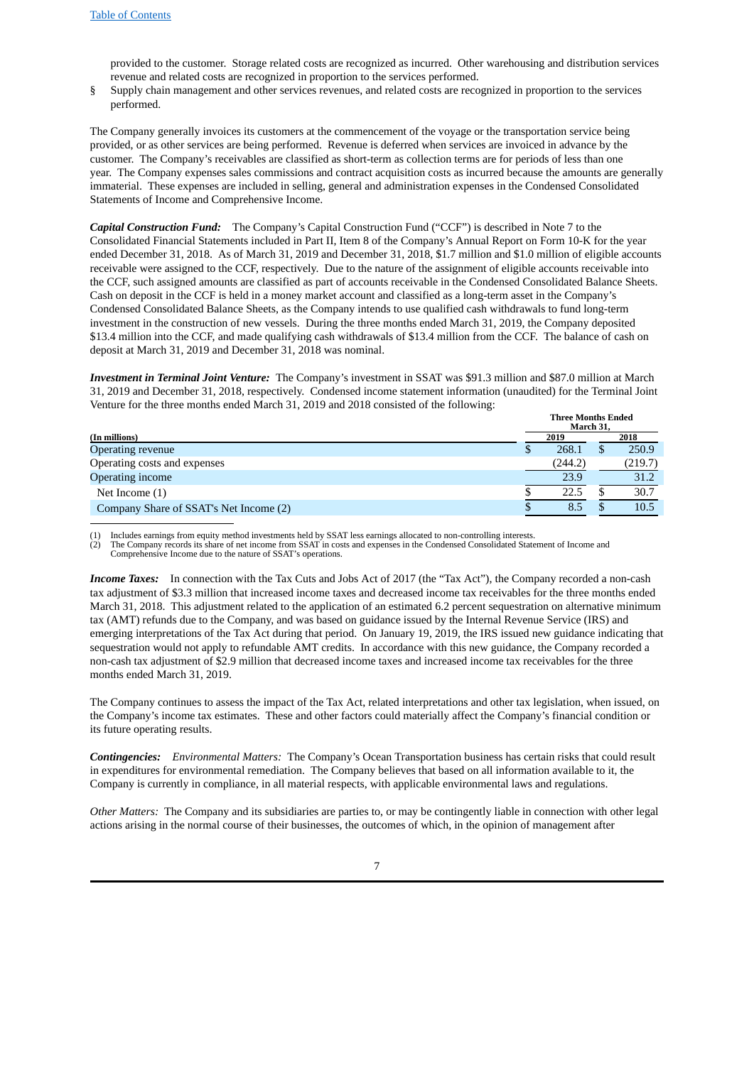provided to the customer. Storage related costs are recognized as incurred. Other warehousing and distribution services revenue and related costs are recognized in proportion to the services performed.

§ Supply chain management and other services revenues, and related costs are recognized in proportion to the services performed.

The Company generally invoices its customers at the commencement of the voyage or the transportation service being provided, or as other services are being performed. Revenue is deferred when services are invoiced in advance by the customer. The Company's receivables are classified as short-term as collection terms are for periods of less than one year. The Company expenses sales commissions and contract acquisition costs as incurred because the amounts are generally immaterial. These expenses are included in selling, general and administration expenses in the Condensed Consolidated Statements of Income and Comprehensive Income.

*Capital Construction Fund:* The Company's Capital Construction Fund ("CCF") is described in Note 7 to the Consolidated Financial Statements included in Part II, Item 8 of the Company's Annual Report on Form 10-K for the year ended December 31, 2018. As of March 31, 2019 and December 31, 2018, \$1.7 million and \$1.0 million of eligible accounts receivable were assigned to the CCF, respectively. Due to the nature of the assignment of eligible accounts receivable into the CCF, such assigned amounts are classified as part of accounts receivable in the Condensed Consolidated Balance Sheets. Cash on deposit in the CCF is held in a money market account and classified as a long-term asset in the Company's Condensed Consolidated Balance Sheets, as the Company intends to use qualified cash withdrawals to fund long-term investment in the construction of new vessels. During the three months ended March 31, 2019, the Company deposited \$13.4 million into the CCF, and made qualifying cash withdrawals of \$13.4 million from the CCF. The balance of cash on deposit at March 31, 2019 and December 31, 2018 was nominal.

*Investment in Terminal Joint Venture:* The Company's investment in SSAT was \$91.3 million and \$87.0 million at March 31, 2019 and December 31, 2018, respectively. Condensed income statement information (unaudited) for the Terminal Joint Venture for the three months ended March 31, 2019 and 2018 consisted of the following:

|                                        | <b>Three Months Ended</b><br>March 31, |         |  |         |
|----------------------------------------|----------------------------------------|---------|--|---------|
| (In millions)                          |                                        | 2019    |  | 2018    |
| <b>Operating revenue</b>               |                                        | 268.1   |  | 250.9   |
| Operating costs and expenses           |                                        | (244.2) |  | (219.7) |
| <b>Operating income</b>                |                                        | 23.9    |  | 31.2    |
| Net Income (1)                         |                                        | 22.5    |  | 30.7    |
| Company Share of SSAT's Net Income (2) |                                        | 8.5     |  | 10.5    |

(1) Includes earnings from equity method investments held by SSAT less earnings allocated to non-controlling interests.<br>(2) The Company records its share of net income from SSAT in costs and expenses in the Condensed Conso

The Company records its share of net income from SSAT in costs and expenses in the Condensed Consolidated Statement of Income and Comprehensive Income due to the nature of SSAT's operations.

*Income Taxes:* In connection with the Tax Cuts and Jobs Act of 2017 (the "Tax Act"), the Company recorded a non-cash tax adjustment of \$3.3 million that increased income taxes and decreased income tax receivables for the three months ended March 31, 2018. This adjustment related to the application of an estimated 6.2 percent sequestration on alternative minimum tax (AMT) refunds due to the Company, and was based on guidance issued by the Internal Revenue Service (IRS) and emerging interpretations of the Tax Act during that period. On January 19, 2019, the IRS issued new guidance indicating that sequestration would not apply to refundable AMT credits. In accordance with this new guidance, the Company recorded a non-cash tax adjustment of \$2.9 million that decreased income taxes and increased income tax receivables for the three months ended March 31, 2019.

The Company continues to assess the impact of the Tax Act, related interpretations and other tax legislation, when issued, on the Company's income tax estimates. These and other factors could materially affect the Company's financial condition or its future operating results.

*Contingencies: Environmental Matters:* The Company's Ocean Transportation business has certain risks that could result in expenditures for environmental remediation. The Company believes that based on all information available to it, the Company is currently in compliance, in all material respects, with applicable environmental laws and regulations.

*Other Matters:* The Company and its subsidiaries are parties to, or may be contingently liable in connection with other legal actions arising in the normal course of their businesses, the outcomes of which, in the opinion of management after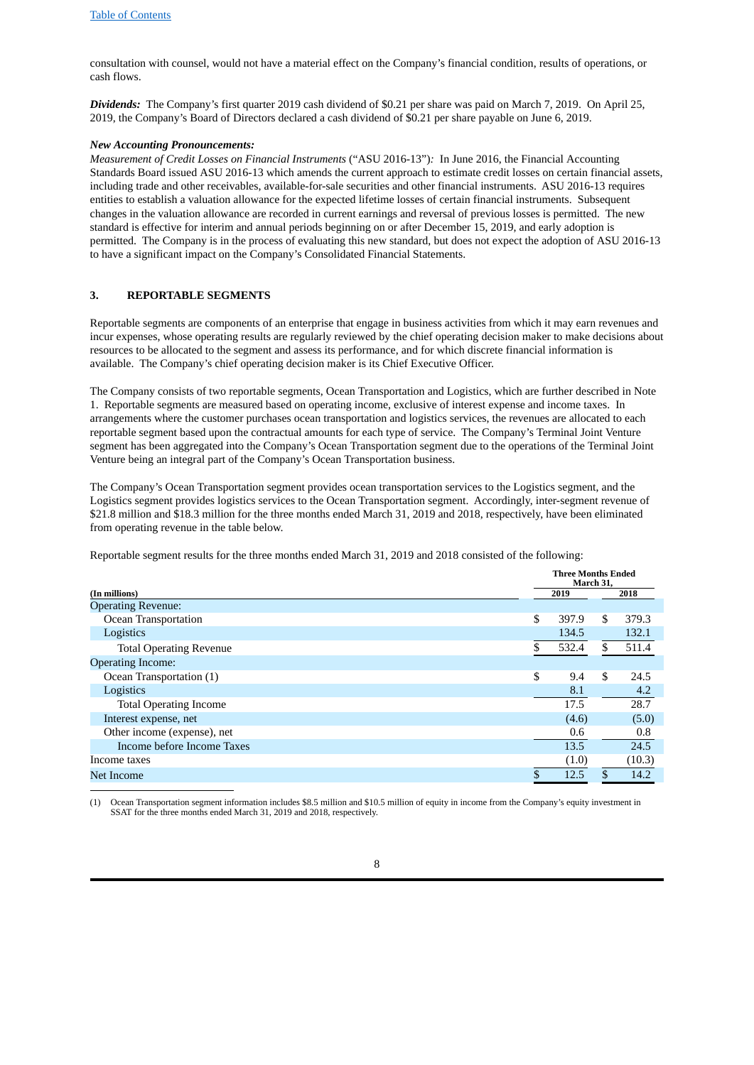consultation with counsel, would not have a material effect on the Company's financial condition, results of operations, or cash flows.

*Dividends:* The Company's first quarter 2019 cash dividend of \$0.21 per share was paid on March 7, 2019. On April 25, 2019, the Company's Board of Directors declared a cash dividend of \$0.21 per share payable on June 6, 2019.

#### *New Accounting Pronouncements:*

*Measurement of Credit Losses on Financial Instruments* ("ASU 2016-13")*:* In June 2016, the Financial Accounting Standards Board issued ASU 2016‑13 which amends the current approach to estimate credit losses on certain financial assets, including trade and other receivables, available-for-sale securities and other financial instruments. ASU 2016-13 requires entities to establish a valuation allowance for the expected lifetime losses of certain financial instruments. Subsequent changes in the valuation allowance are recorded in current earnings and reversal of previous losses is permitted. The new standard is effective for interim and annual periods beginning on or after December 15, 2019, and early adoption is permitted. The Company is in the process of evaluating this new standard, but does not expect the adoption of ASU 2016‑13 to have a significant impact on the Company's Consolidated Financial Statements.

#### **3. REPORTABLE SEGMENTS**

Reportable segments are components of an enterprise that engage in business activities from which it may earn revenues and incur expenses, whose operating results are regularly reviewed by the chief operating decision maker to make decisions about resources to be allocated to the segment and assess its performance, and for which discrete financial information is available. The Company's chief operating decision maker is its Chief Executive Officer.

The Company consists of two reportable segments, Ocean Transportation and Logistics, which are further described in Note 1. Reportable segments are measured based on operating income, exclusive of interest expense and income taxes. In arrangements where the customer purchases ocean transportation and logistics services, the revenues are allocated to each reportable segment based upon the contractual amounts for each type of service. The Company's Terminal Joint Venture segment has been aggregated into the Company's Ocean Transportation segment due to the operations of the Terminal Joint Venture being an integral part of the Company's Ocean Transportation business.

The Company's Ocean Transportation segment provides ocean transportation services to the Logistics segment, and the Logistics segment provides logistics services to the Ocean Transportation segment. Accordingly, inter-segment revenue of \$21.8 million and \$18.3 million for the three months ended March 31, 2019 and 2018, respectively, have been eliminated from operating revenue in the table below.

Reportable segment results for the three months ended March 31, 2019 and 2018 consisted of the following:

|                                | <b>Three Months Ended</b><br>March 31, |       |     |        |
|--------------------------------|----------------------------------------|-------|-----|--------|
| (In millions)                  |                                        | 2019  |     | 2018   |
| <b>Operating Revenue:</b>      |                                        |       |     |        |
| Ocean Transportation           | \$                                     | 397.9 | \$  | 379.3  |
| Logistics                      |                                        | 134.5 |     | 132.1  |
| <b>Total Operating Revenue</b> | \$                                     | 532.4 | \$. | 511.4  |
| <b>Operating Income:</b>       |                                        |       |     |        |
| Ocean Transportation (1)       | \$                                     | 9.4   | \$  | 24.5   |
| Logistics                      |                                        | 8.1   |     | 4.2    |
| <b>Total Operating Income</b>  |                                        | 17.5  |     | 28.7   |
| Interest expense, net          |                                        | (4.6) |     | (5.0)  |
| Other income (expense), net    |                                        | 0.6   |     | 0.8    |
| Income before Income Taxes     |                                        | 13.5  |     | 24.5   |
| Income taxes                   |                                        | (1.0) |     | (10.3) |
| Net Income                     | \$                                     | 12.5  | \$  | 14.2   |

(1) Ocean Transportation segment information includes \$8.5 million and \$10.5 million of equity in income from the Company's equity investment in SSAT for the three months ended March 31, 2019 and 2018, respectively.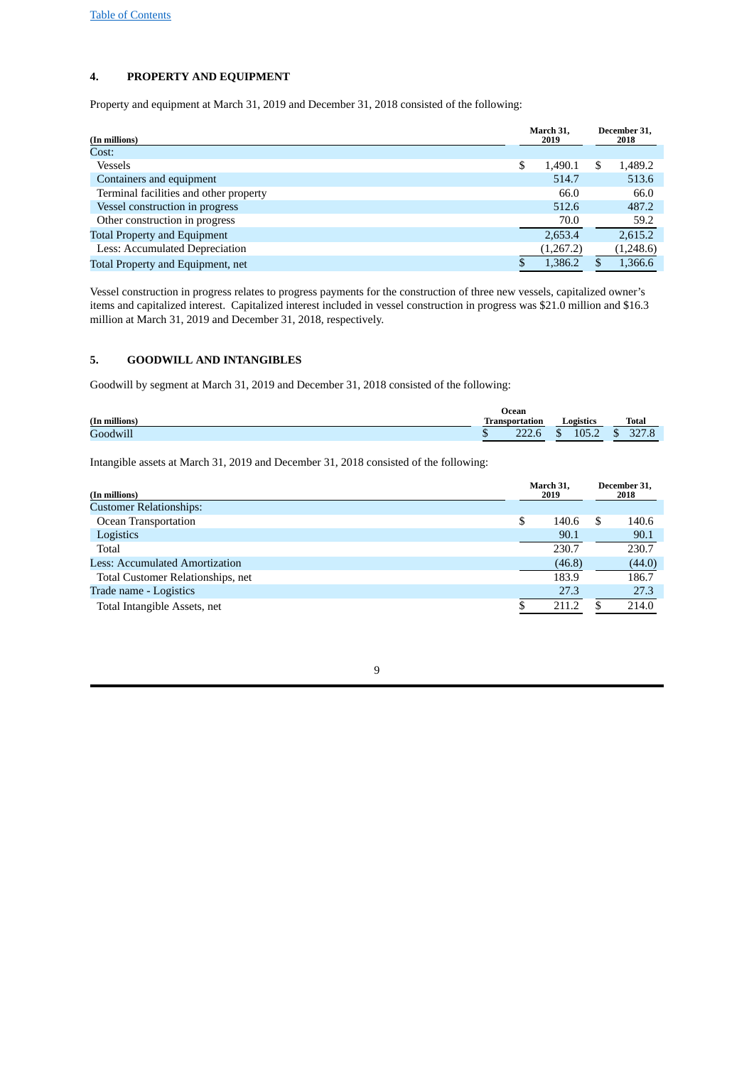# **4. PROPERTY AND EQUIPMENT**

Property and equipment at March 31, 2019 and December 31, 2018 consisted of the following:

| (In millions)                          | March 31,<br>2019 |           | December 31.<br>2018 |
|----------------------------------------|-------------------|-----------|----------------------|
| Cost:                                  |                   |           |                      |
| Vessels                                | \$                | 1,490.1   | \$<br>1,489.2        |
| Containers and equipment               |                   | 514.7     | 513.6                |
| Terminal facilities and other property |                   | 66.0      | 66.0                 |
| Vessel construction in progress        |                   | 512.6     | 487.2                |
| Other construction in progress         |                   | 70.0      | 59.2                 |
| <b>Total Property and Equipment</b>    |                   | 2,653.4   | 2,615.2              |
| Less: Accumulated Depreciation         |                   | (1,267.2) | (1,248.6)            |
| Total Property and Equipment, net      |                   | 1,386.2   | 1,366.6              |

Vessel construction in progress relates to progress payments for the construction of three new vessels, capitalized owner's items and capitalized interest. Capitalized interest included in vessel construction in progress was \$21.0 million and \$16.3 million at March 31, 2019 and December 31, 2018, respectively.

# **5. GOODWILL AND INTANGIBLES**

Goodwill by segment at March 31, 2019 and December 31, 2018 consisted of the following:

|                 | Ocean |                |    |                 |  |              |
|-----------------|-------|----------------|----|-----------------|--|--------------|
| (In millions)   |       | Transportation |    | Logistics       |  | <b>Total</b> |
| 777<br>Goodwill |       | ם ברח<br>222.0 | ۰D | 105.2<br>$\sim$ |  | 327.8        |

Intangible assets at March 31, 2019 and December 31, 2018 consisted of the following:

| (In millions)                     | March 31,<br>2019 |        |    | December 31.<br>2018 |
|-----------------------------------|-------------------|--------|----|----------------------|
| <b>Customer Relationships:</b>    |                   |        |    |                      |
| Ocean Transportation              | \$                | 140.6  | \$ | 140.6                |
| Logistics                         |                   | 90.1   |    | 90.1                 |
| Total                             |                   | 230.7  |    | 230.7                |
| Less: Accumulated Amortization    |                   | (46.8) |    | (44.0)               |
| Total Customer Relationships, net |                   | 183.9  |    | 186.7                |
| Trade name - Logistics            |                   | 27.3   |    | 27.3                 |
| Total Intangible Assets, net      |                   | 211.2  |    | 214.0                |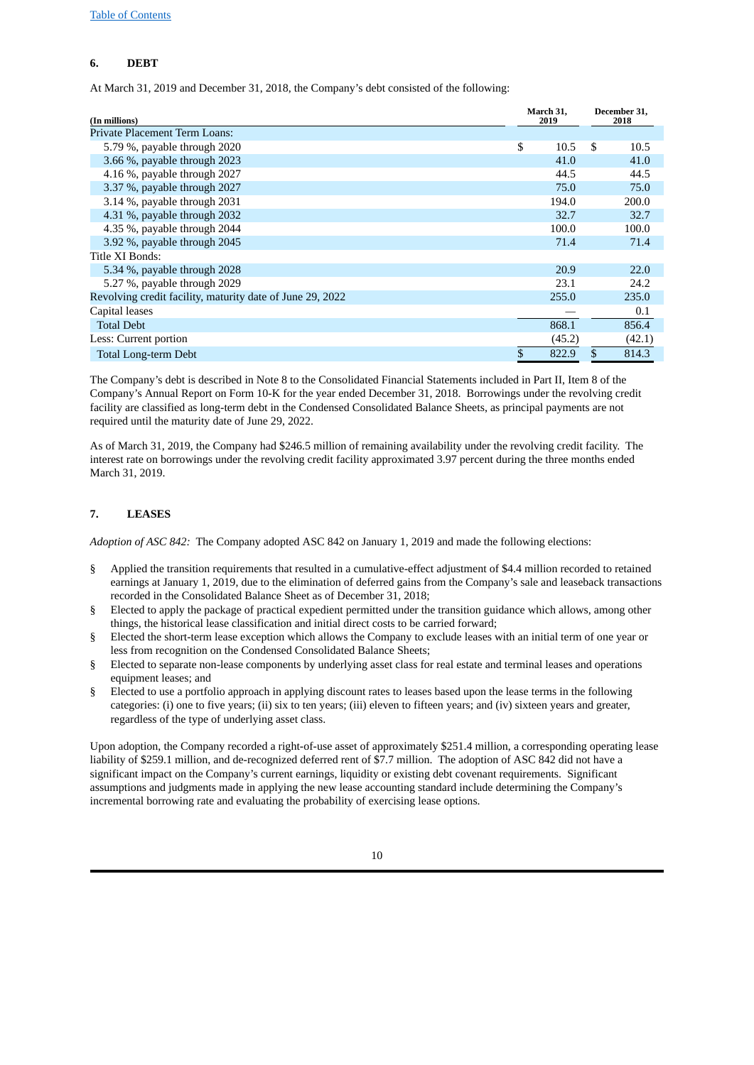# **6. DEBT**

At March 31, 2019 and December 31, 2018, the Company's debt consisted of the following:

| (In millions)                                             |    | March 31.<br>2019 |    | December 31.<br>2018 |
|-----------------------------------------------------------|----|-------------------|----|----------------------|
| Private Placement Term Loans:                             |    |                   |    |                      |
| 5.79 %, payable through 2020                              | \$ | 10.5              | S. | 10.5                 |
| 3.66 %, payable through 2023                              |    | 41.0              |    | 41.0                 |
| 4.16 %, payable through 2027                              |    | 44.5              |    | 44.5                 |
| 3.37 %, payable through 2027                              |    | 75.0              |    | 75.0                 |
| 3.14 %, payable through 2031                              |    | 194.0             |    | 200.0                |
| 4.31 %, payable through 2032                              |    | 32.7              |    | 32.7                 |
| 4.35 %, payable through 2044                              |    | 100.0             |    | 100.0                |
| 3.92 %, payable through 2045                              |    | 71.4              |    | 71.4                 |
| Title XI Bonds:                                           |    |                   |    |                      |
| 5.34 %, payable through 2028                              |    | 20.9              |    | 22.0                 |
| 5.27 %, payable through 2029                              |    | 23.1              |    | 24.2                 |
| Revolving credit facility, maturity date of June 29, 2022 |    | 255.0             |    | 235.0                |
| Capital leases                                            |    |                   |    | 0.1                  |
| <b>Total Debt</b>                                         |    | 868.1             |    | 856.4                |
| Less: Current portion                                     |    | (45.2)            |    | (42.1)               |
| Total Long-term Debt                                      | \$ | 822.9             | \$ | 814.3                |

The Company's debt is described in Note 8 to the Consolidated Financial Statements included in Part II, Item 8 of the Company's Annual Report on Form 10-K for the year ended December 31, 2018. Borrowings under the revolving credit facility are classified as long-term debt in the Condensed Consolidated Balance Sheets, as principal payments are not required until the maturity date of June 29, 2022.

As of March 31, 2019, the Company had \$246.5 million of remaining availability under the revolving credit facility. The interest rate on borrowings under the revolving credit facility approximated 3.97 percent during the three months ended March 31, 2019.

## **7. LEASES**

*Adoption of ASC 842:* The Company adopted ASC 842 on January 1, 2019 and made the following elections:

- § Applied the transition requirements that resulted in a cumulative-effect adjustment of \$4.4 million recorded to retained earnings at January 1, 2019, due to the elimination of deferred gains from the Company's sale and leaseback transactions recorded in the Consolidated Balance Sheet as of December 31, 2018;
- § Elected to apply the package of practical expedient permitted under the transition guidance which allows, among other things, the historical lease classification and initial direct costs to be carried forward;
- § Elected the short-term lease exception which allows the Company to exclude leases with an initial term of one year or less from recognition on the Condensed Consolidated Balance Sheets;
- § Elected to separate non-lease components by underlying asset class for real estate and terminal leases and operations equipment leases; and
- § Elected to use a portfolio approach in applying discount rates to leases based upon the lease terms in the following categories: (i) one to five years; (ii) six to ten years; (iii) eleven to fifteen years; and (iv) sixteen years and greater, regardless of the type of underlying asset class.

Upon adoption, the Company recorded a right-of-use asset of approximately \$251.4 million, a corresponding operating lease liability of \$259.1 million, and de-recognized deferred rent of \$7.7 million. The adoption of ASC 842 did not have a significant impact on the Company's current earnings, liquidity or existing debt covenant requirements. Significant assumptions and judgments made in applying the new lease accounting standard include determining the Company's incremental borrowing rate and evaluating the probability of exercising lease options.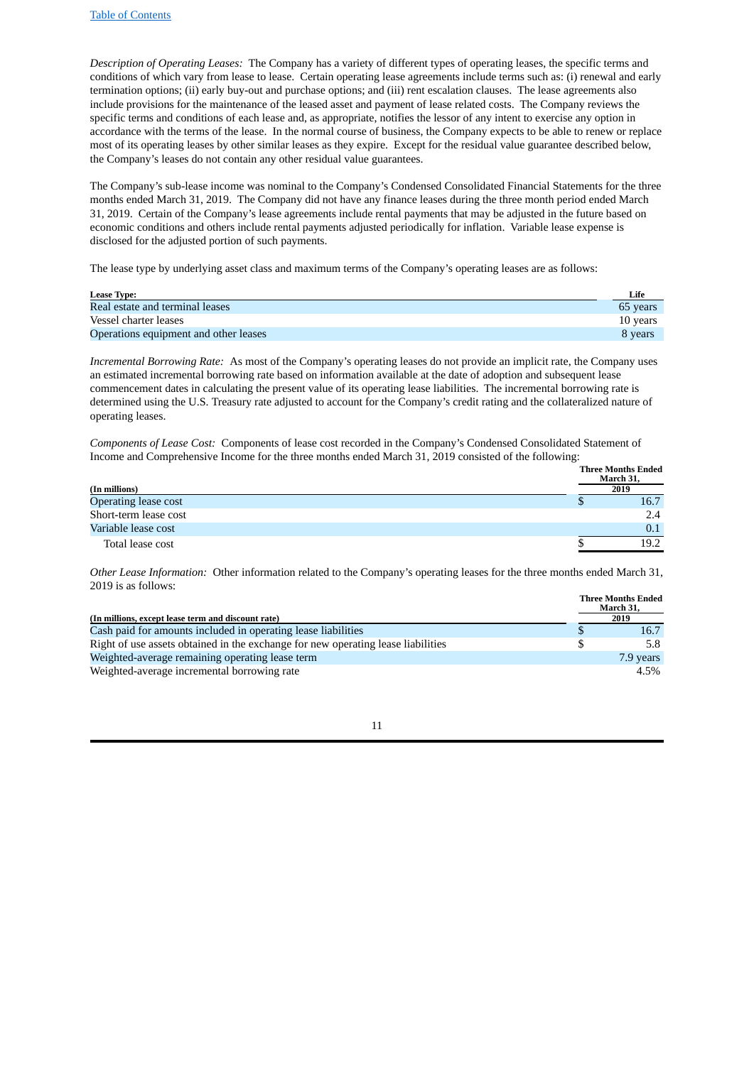*Description of Operating Leases:* The Company has a variety of different types of operating leases, the specific terms and conditions of which vary from lease to lease. Certain operating lease agreements include terms such as: (i) renewal and early termination options; (ii) early buy-out and purchase options; and (iii) rent escalation clauses. The lease agreements also include provisions for the maintenance of the leased asset and payment of lease related costs. The Company reviews the specific terms and conditions of each lease and, as appropriate, notifies the lessor of any intent to exercise any option in accordance with the terms of the lease. In the normal course of business, the Company expects to be able to renew or replace most of its operating leases by other similar leases as they expire. Except for the residual value guarantee described below, the Company's leases do not contain any other residual value guarantees.

The Company's sub-lease income was nominal to the Company's Condensed Consolidated Financial Statements for the three months ended March 31, 2019. The Company did not have any finance leases during the three month period ended March 31, 2019. Certain of the Company's lease agreements include rental payments that may be adjusted in the future based on economic conditions and others include rental payments adjusted periodically for inflation. Variable lease expense is disclosed for the adjusted portion of such payments.

The lease type by underlying asset class and maximum terms of the Company's operating leases are as follows:

| <b>Lease Type:</b>                    | Life     |
|---------------------------------------|----------|
| Real estate and terminal leases       | 65 years |
| Vessel charter leases                 | 10 years |
| Operations equipment and other leases | 8 years  |

*Incremental Borrowing Rate:* As most of the Company's operating leases do not provide an implicit rate, the Company uses an estimated incremental borrowing rate based on information available at the date of adoption and subsequent lease commencement dates in calculating the present value of its operating lease liabilities. The incremental borrowing rate is determined using the U.S. Treasury rate adjusted to account for the Company's credit rating and the collateralized nature of operating leases.

*Components of Lease Cost:* Components of lease cost recorded in the Company's Condensed Consolidated Statement of Income and Comprehensive Income for the three months ended March 31, 2019 consisted of the following:

|                       | <b>Three Months Ended</b><br>March 31, |      |
|-----------------------|----------------------------------------|------|
| (In millions)         | 2019                                   |      |
| Operating lease cost  |                                        | 16.7 |
| Short-term lease cost |                                        | 2.4  |
| Variable lease cost   |                                        | 0.1  |
| Total lease cost      |                                        | 19.2 |

*Other Lease Information:* Other information related to the Company's operating leases for the three months ended March 31, 2019 is as follows:

|                                                                                  |   | <b>Three Months Ended</b> |  |  |  |
|----------------------------------------------------------------------------------|---|---------------------------|--|--|--|
|                                                                                  |   | March 31,                 |  |  |  |
| (In millions, except lease term and discount rate)                               |   | 2019                      |  |  |  |
| Cash paid for amounts included in operating lease liabilities                    |   | 16.7                      |  |  |  |
| Right of use assets obtained in the exchange for new operating lease liabilities | S | 5.8                       |  |  |  |
| Weighted-average remaining operating lease term                                  |   | 7.9 years                 |  |  |  |
| Weighted-average incremental borrowing rate                                      |   | 4.5%                      |  |  |  |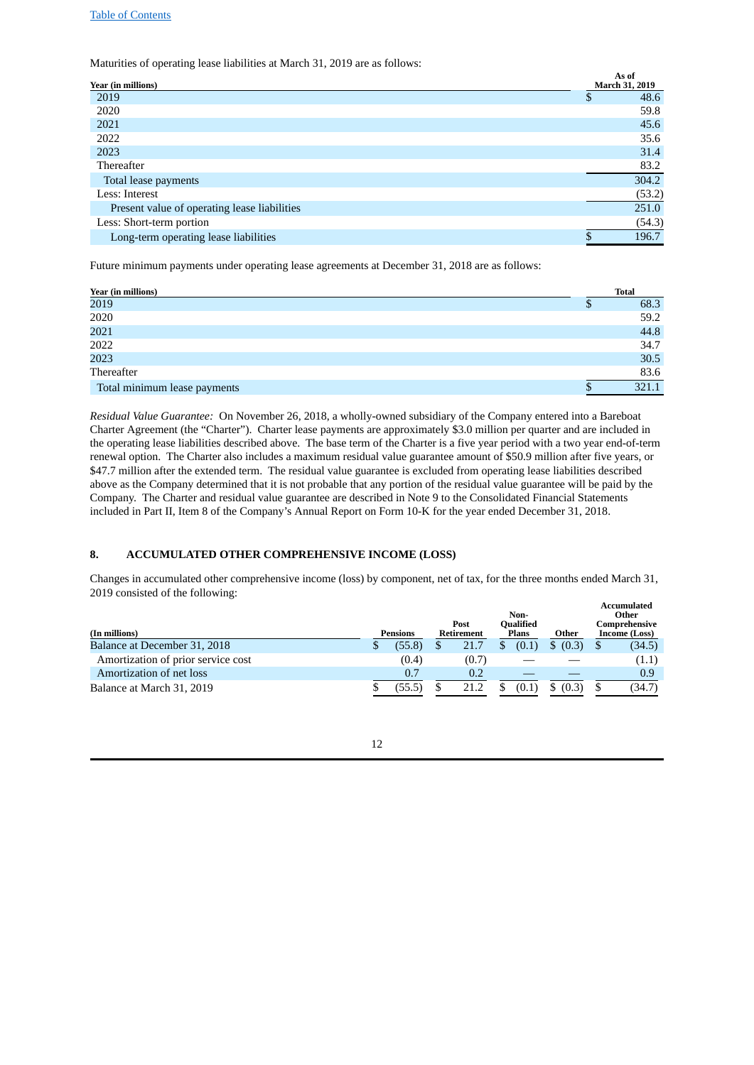Maturities of operating lease liabilities at March 31, 2019 are as follows:

|                                              | As of          |
|----------------------------------------------|----------------|
| Year (in millions)                           | March 31, 2019 |
| 2019                                         | 48.6<br>S      |
| 2020                                         | 59.8           |
| 2021                                         | 45.6           |
| 2022                                         | 35.6           |
| 2023                                         | 31.4           |
| Thereafter                                   | 83.2           |
| Total lease payments                         | 304.2          |
| Less: Interest                               | (53.2)         |
| Present value of operating lease liabilities | 251.0          |
| Less: Short-term portion                     | (54.3)         |
| Long-term operating lease liabilities        | 196.7          |
|                                              |                |

Future minimum payments under operating lease agreements at December 31, 2018 are as follows:

| Year (in millions)           |    | <b>Total</b> |
|------------------------------|----|--------------|
| 2019                         | ۰D | 68.3         |
| 2020                         |    | 59.2         |
| 2021                         |    | 44.8         |
| 2022                         |    | 34.7         |
| 2023                         |    | 30.5         |
| Thereafter                   |    | 83.6         |
| Total minimum lease payments |    | 321.1        |

*Residual Value Guarantee:* On November 26, 2018, a wholly-owned subsidiary of the Company entered into a Bareboat Charter Agreement (the "Charter"). Charter lease payments are approximately \$3.0 million per quarter and are included in the operating lease liabilities described above. The base term of the Charter is a five year period with a two year end-of-term renewal option. The Charter also includes a maximum residual value guarantee amount of \$50.9 million after five years, or \$47.7 million after the extended term. The residual value guarantee is excluded from operating lease liabilities described above as the Company determined that it is not probable that any portion of the residual value guarantee will be paid by the Company. The Charter and residual value guarantee are described in Note 9 to the Consolidated Financial Statements included in Part II, Item 8 of the Company's Annual Report on Form 10-K for the year ended December 31, 2018.

## **8. ACCUMULATED OTHER COMPREHENSIVE INCOME (LOSS)**

Changes in accumulated other comprehensive income (loss) by component, net of tax, for the three months ended March 31, 2019 consisted of the following: **Accumulated**

| (In millions)                      | Pensions | Non-<br>Oualified<br>Post<br><b>Plans</b><br>Other<br>Retirement |       |  |       | Other<br>Comprehensive<br>Income (Loss) |        |
|------------------------------------|----------|------------------------------------------------------------------|-------|--|-------|-----------------------------------------|--------|
| Balance at December 31, 2018       | (55.8)   |                                                                  | 21.7  |  | (0.1) | \$ (0.3)                                | (34.5) |
| Amortization of prior service cost | (0.4)    |                                                                  | (0.7) |  |       |                                         | (1.1)  |
| Amortization of net loss           | 0.7      |                                                                  | 0.2   |  |       |                                         | 0.9    |
| Balance at March 31, 2019          | (55.5)   |                                                                  | 21.2  |  |       | (0.3)                                   | (34.7) |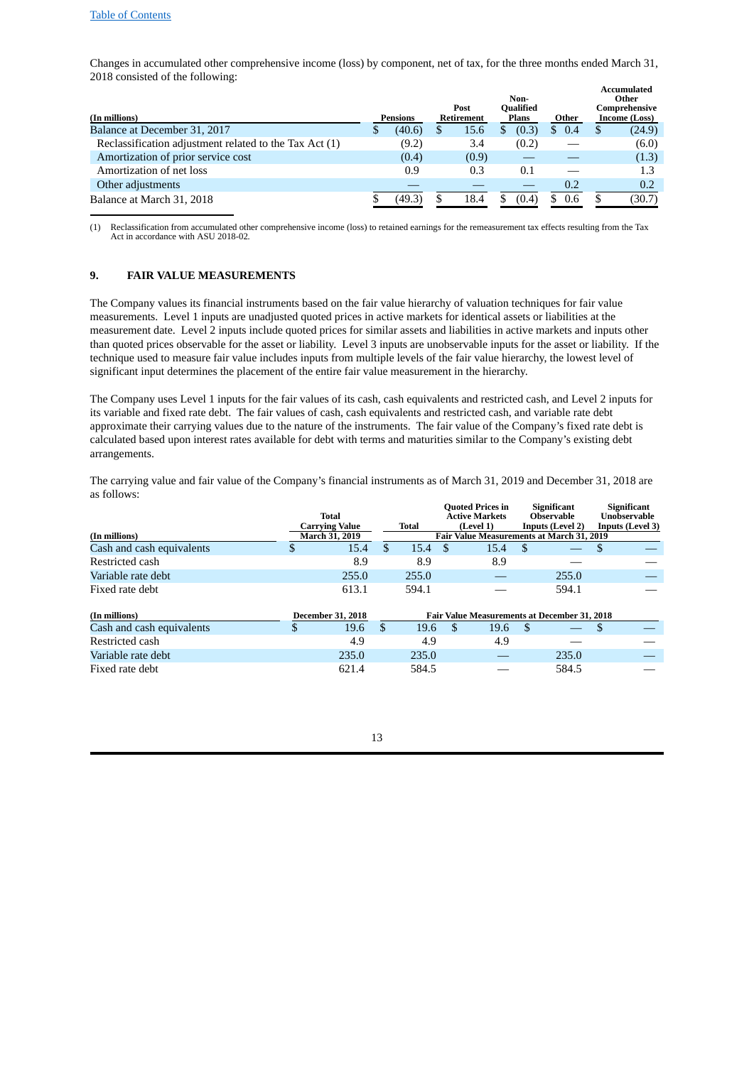Changes in accumulated other comprehensive income (loss) by component, net of tax, for the three months ended March 31, 2018 consisted of the following:

| (In millions)                                          | <b>Pensions</b> |        |   |       |   | Non-<br>Oualified<br>Other<br><b>Plans</b> |    |     |   | Post<br>Retirement |  |  |  |  |
|--------------------------------------------------------|-----------------|--------|---|-------|---|--------------------------------------------|----|-----|---|--------------------|--|--|--|--|
| Balance at December 31, 2017                           | \$              | (40.6) | S | 15.6  | S | (0.3)                                      | \$ | 0.4 | S | (24.9)             |  |  |  |  |
| Reclassification adjustment related to the Tax Act (1) |                 | (9.2)  |   | 3.4   |   | (0.2)                                      |    |     |   | (6.0)              |  |  |  |  |
| Amortization of prior service cost                     |                 | (0.4)  |   | (0.9) |   |                                            |    |     |   | (1.3)              |  |  |  |  |
| Amortization of net loss                               |                 | 0.9    |   | 0.3   |   | 0.1                                        |    |     |   | 1.3                |  |  |  |  |
| Other adjustments                                      |                 |        |   |       |   |                                            |    | 0.2 |   | 0.2                |  |  |  |  |
| Balance at March 31, 2018                              |                 | (49.3) |   | 18.4  |   | (0.4)                                      |    | 0.6 |   | (30.7)             |  |  |  |  |

(1) Reclassification from accumulated other comprehensive income (loss) to retained earnings for the remeasurement tax effects resulting from the Tax Act in accordance with ASU 2018-02*.*

## **9. FAIR VALUE MEASUREMENTS**

The Company values its financial instruments based on the fair value hierarchy of valuation techniques for fair value measurements. Level 1 inputs are unadjusted quoted prices in active markets for identical assets or liabilities at the measurement date. Level 2 inputs include quoted prices for similar assets and liabilities in active markets and inputs other than quoted prices observable for the asset or liability. Level 3 inputs are unobservable inputs for the asset or liability. If the technique used to measure fair value includes inputs from multiple levels of the fair value hierarchy, the lowest level of significant input determines the placement of the entire fair value measurement in the hierarchy.

The Company uses Level 1 inputs for the fair values of its cash, cash equivalents and restricted cash, and Level 2 inputs for its variable and fixed rate debt. The fair values of cash, cash equivalents and restricted cash, and variable rate debt approximate their carrying values due to the nature of the instruments. The fair value of the Company's fixed rate debt is calculated based upon interest rates available for debt with terms and maturities similar to the Company's existing debt arrangements.

The carrying value and fair value of the Company's financial instruments as of March 31, 2019 and December 31, 2018 are as follows:

|                           |              |                          |                                                  |                       | <b>Ouoted Prices in</b>                             |                   | <b>Significant</b>      |                     | <b>Significant</b>      |  |
|---------------------------|--------------|--------------------------|--------------------------------------------------|-----------------------|-----------------------------------------------------|-------------------|-------------------------|---------------------|-------------------------|--|
|                           | <b>Total</b> |                          |                                                  | <b>Active Markets</b> |                                                     | <b>Observable</b> |                         | <b>Unobservable</b> |                         |  |
|                           |              | <b>Carrying Value</b>    | Total                                            |                       | (Level 1)                                           |                   | <b>Inputs (Level 2)</b> |                     | <b>Inputs (Level 3)</b> |  |
| (In millions)             |              | March 31, 2019           | <b>Fair Value Measurements at March 31, 2019</b> |                       |                                                     |                   |                         |                     |                         |  |
| Cash and cash equivalents | \$           | 15.4                     | \$<br>15.4                                       | \$.                   | 15.4                                                | \$.               |                         |                     |                         |  |
| Restricted cash           |              | 8.9                      | 8.9                                              |                       | 8.9                                                 |                   |                         |                     |                         |  |
| Variable rate debt        |              | 255.0                    | 255.0                                            |                       |                                                     |                   | 255.0                   |                     |                         |  |
| Fixed rate debt           |              | 613.1                    | 594.1                                            |                       |                                                     |                   | 594.1                   |                     |                         |  |
| (In millions)             |              | <b>December 31, 2018</b> |                                                  |                       | <b>Fair Value Measurements at December 31, 2018</b> |                   |                         |                     |                         |  |
| Cash and cash equivalents | \$           | 19.6                     | \$<br>19.6                                       | \$                    | 19.6                                                | <b>S</b>          |                         | -\$                 |                         |  |
| Restricted cash           |              | 4.9                      | 4.9                                              |                       | 4.9                                                 |                   |                         |                     |                         |  |
| Variable rate debt        |              | 235.0                    | 235.0                                            |                       |                                                     |                   | 235.0                   |                     |                         |  |
| Fixed rate debt           |              | 621.4                    | 584.5                                            |                       |                                                     |                   | 584.5                   |                     |                         |  |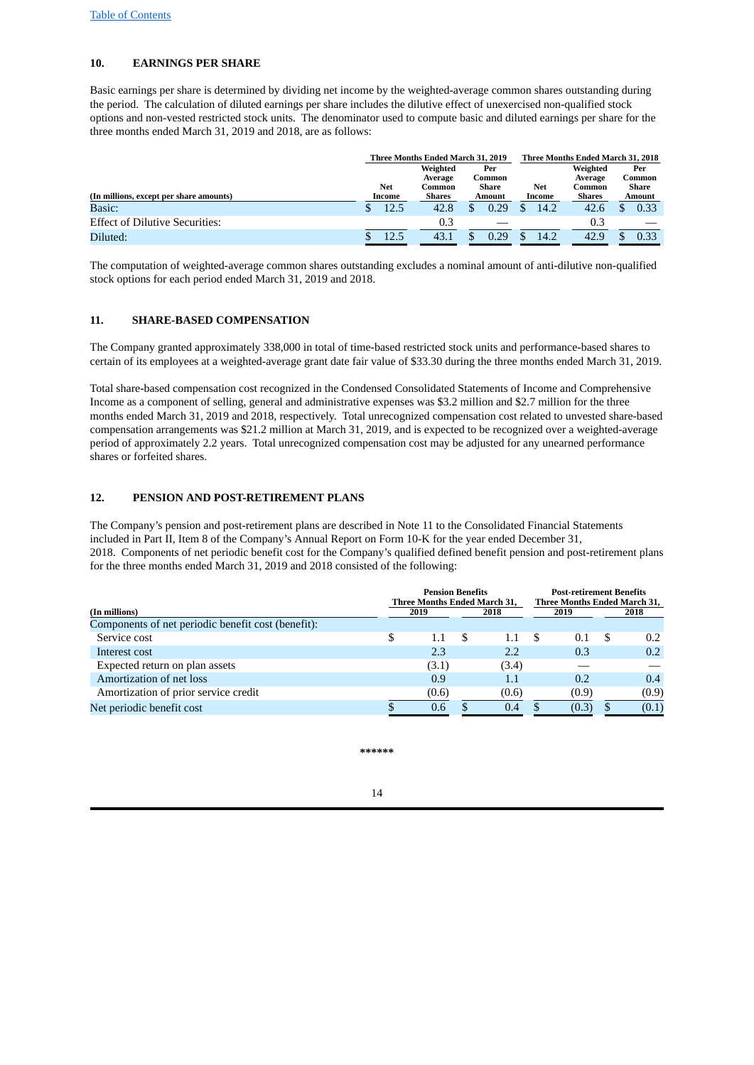# **10. EARNINGS PER SHARE**

Basic earnings per share is determined by dividing net income by the weighted-average common shares outstanding during the period. The calculation of diluted earnings per share includes the dilutive effect of unexercised non-qualified stock options and non-vested restricted stock units. The denominator used to compute basic and diluted earnings per share for the three months ended March 31, 2019 and 2018, are as follows:

|                                         | Three Months Ended March 31, 2019 |      |      |  |          |  |        |      | Three Months Ended March 31, 2018 |          |  |        |  |       |  |  |  |  |  |  |               |        |  |        |  |        |        |  |
|-----------------------------------------|-----------------------------------|------|------|--|----------|--|--------|------|-----------------------------------|----------|--|--------|--|-------|--|--|--|--|--|--|---------------|--------|--|--------|--|--------|--------|--|
|                                         | Net                               |      |      |  | Weighted |  | Per    |      |                                   | Weighted |  | Per    |  |       |  |  |  |  |  |  |               |        |  |        |  |        |        |  |
|                                         |                                   |      |      |  | Average  |  | Common |      |                                   | Average  |  | Common |  |       |  |  |  |  |  |  |               |        |  |        |  |        |        |  |
|                                         |                                   |      |      |  |          |  | Common |      | Share                             | Net      |  | Common |  | Share |  |  |  |  |  |  |               |        |  |        |  |        |        |  |
| (In millions, except per share amounts) | Income                            |      |      |  |          |  |        |      |                                   |          |  |        |  |       |  |  |  |  |  |  | <b>Shares</b> | Amount |  | Income |  | Shares | Amount |  |
| Basic:                                  |                                   | 12.5 | 42.8 |  | 0.29     |  | 14.2   | 42.6 |                                   | 0.33     |  |        |  |       |  |  |  |  |  |  |               |        |  |        |  |        |        |  |
| <b>Effect of Dilutive Securities:</b>   |                                   |      | 0.3  |  |          |  |        | 0.3  |                                   |          |  |        |  |       |  |  |  |  |  |  |               |        |  |        |  |        |        |  |
| Diluted:                                |                                   | 12.5 | 43.1 |  | .29      |  | 14.2   | 42.9 |                                   | 0.33     |  |        |  |       |  |  |  |  |  |  |               |        |  |        |  |        |        |  |

The computation of weighted-average common shares outstanding excludes a nominal amount of anti-dilutive non-qualified stock options for each period ended March 31, 2019 and 2018.

## **11. SHARE-BASED COMPENSATION**

The Company granted approximately 338,000 in total of time-based restricted stock units and performance-based shares to certain of its employees at a weighted-average grant date fair value of \$33.30 during the three months ended March 31, 2019.

Total share-based compensation cost recognized in the Condensed Consolidated Statements of Income and Comprehensive Income as a component of selling, general and administrative expenses was \$3.2 million and \$2.7 million for the three months ended March 31, 2019 and 2018, respectively. Total unrecognized compensation cost related to unvested share-based compensation arrangements was \$21.2 million at March 31, 2019, and is expected to be recognized over a weighted-average period of approximately 2.2 years. Total unrecognized compensation cost may be adjusted for any unearned performance shares or forfeited shares.

# **12. PENSION AND POST-RETIREMENT PLANS**

The Company's pension and post-retirement plans are described in Note 11 to the Consolidated Financial Statements included in Part II, Item 8 of the Company's Annual Report on Form 10-K for the year ended December 31, 2018. Components of net periodic benefit cost for the Company's qualified defined benefit pension and post-retirement plans for the three months ended March 31, 2019 and 2018 consisted of the following:

|                                                    | <b>Pension Benefits</b><br><b>Three Months Ended March 31.</b> |       |  |       |    | <b>Post-retirement Benefits</b><br>Three Months Ended March 31, |   |       |
|----------------------------------------------------|----------------------------------------------------------------|-------|--|-------|----|-----------------------------------------------------------------|---|-------|
| (In millions)                                      | 2019<br>2018                                                   |       |  |       |    | 2019                                                            |   | 2018  |
| Components of net periodic benefit cost (benefit): |                                                                |       |  |       |    |                                                                 |   |       |
| Service cost                                       |                                                                | 1.1   |  | 1.1   | -S | 0.1                                                             | S | 0.2   |
| Interest cost                                      |                                                                | 2.3   |  | 2.2   |    | 0.3                                                             |   | 0.2   |
| Expected return on plan assets                     |                                                                | (3.1) |  | (3.4) |    |                                                                 |   |       |
| Amortization of net loss                           |                                                                | 0.9   |  | 1.1   |    | 0.2                                                             |   | 0.4   |
| Amortization of prior service credit               |                                                                | (0.6) |  | (0.6) |    | (0.9)                                                           |   | (0.9) |
| Net periodic benefit cost                          |                                                                | 0.6   |  | 0.4   |    | (0.3)                                                           |   | (0.1) |

**\*\*\*\*\*\***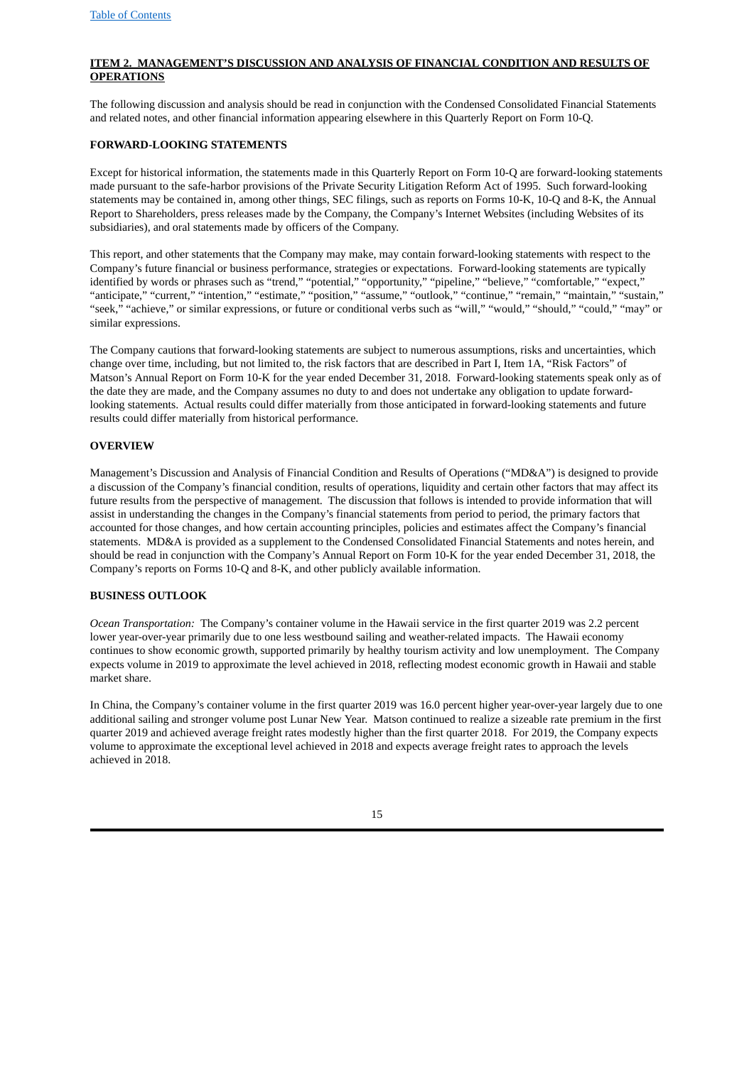## <span id="page-16-0"></span>**ITEM 2. MANAGEMENT'S DISCUSSION AND ANALYSIS OF FINANCIAL CONDITION AND RESULTS OF OPERATIONS**

The following discussion and analysis should be read in conjunction with the Condensed Consolidated Financial Statements and related notes, and other financial information appearing elsewhere in this Quarterly Report on Form 10‑Q.

## **FORWARD-LOOKING STATEMENTS**

Except for historical information, the statements made in this Quarterly Report on Form 10-Q are forward-looking statements made pursuant to the safe-harbor provisions of the Private Security Litigation Reform Act of 1995. Such forward-looking statements may be contained in, among other things, SEC filings, such as reports on Forms 10-K, 10-Q and 8-K, the Annual Report to Shareholders, press releases made by the Company, the Company's Internet Websites (including Websites of its subsidiaries), and oral statements made by officers of the Company.

This report, and other statements that the Company may make, may contain forward-looking statements with respect to the Company's future financial or business performance, strategies or expectations. Forward-looking statements are typically identified by words or phrases such as "trend," "potential," "opportunity," "pipeline," "believe," "comfortable," "expect," "anticipate," "current," "intention," "estimate," "position," "assume," "outlook," "continue," "remain," "maintain," "sustain," "seek," "achieve," or similar expressions, or future or conditional verbs such as "will," "would," "should," "could," "may" or similar expressions.

The Company cautions that forward-looking statements are subject to numerous assumptions, risks and uncertainties, which change over time, including, but not limited to, the risk factors that are described in Part I, Item 1A, "Risk Factors" of Matson's Annual Report on Form 10-K for the year ended December 31, 2018. Forward-looking statements speak only as of the date they are made, and the Company assumes no duty to and does not undertake any obligation to update forwardlooking statements. Actual results could differ materially from those anticipated in forward-looking statements and future results could differ materially from historical performance.

## **OVERVIEW**

Management's Discussion and Analysis of Financial Condition and Results of Operations ("MD&A") is designed to provide a discussion of the Company's financial condition, results of operations, liquidity and certain other factors that may affect its future results from the perspective of management. The discussion that follows is intended to provide information that will assist in understanding the changes in the Company's financial statements from period to period, the primary factors that accounted for those changes, and how certain accounting principles, policies and estimates affect the Company's financial statements. MD&A is provided as a supplement to the Condensed Consolidated Financial Statements and notes herein, and should be read in conjunction with the Company's Annual Report on Form 10-K for the year ended December 31, 2018, the Company's reports on Forms 10-Q and 8-K, and other publicly available information.

## **BUSINESS OUTLOOK**

*Ocean Transportation:* The Company's container volume in the Hawaii service in the first quarter 2019 was 2.2 percent lower year-over-year primarily due to one less westbound sailing and weather-related impacts. The Hawaii economy continues to show economic growth, supported primarily by healthy tourism activity and low unemployment. The Company expects volume in 2019 to approximate the level achieved in 2018, reflecting modest economic growth in Hawaii and stable market share.

In China, the Company's container volume in the first quarter 2019 was 16.0 percent higher year-over-year largely due to one additional sailing and stronger volume post Lunar New Year. Matson continued to realize a sizeable rate premium in the first quarter 2019 and achieved average freight rates modestly higher than the first quarter 2018. For 2019, the Company expects volume to approximate the exceptional level achieved in 2018 and expects average freight rates to approach the levels achieved in 2018.

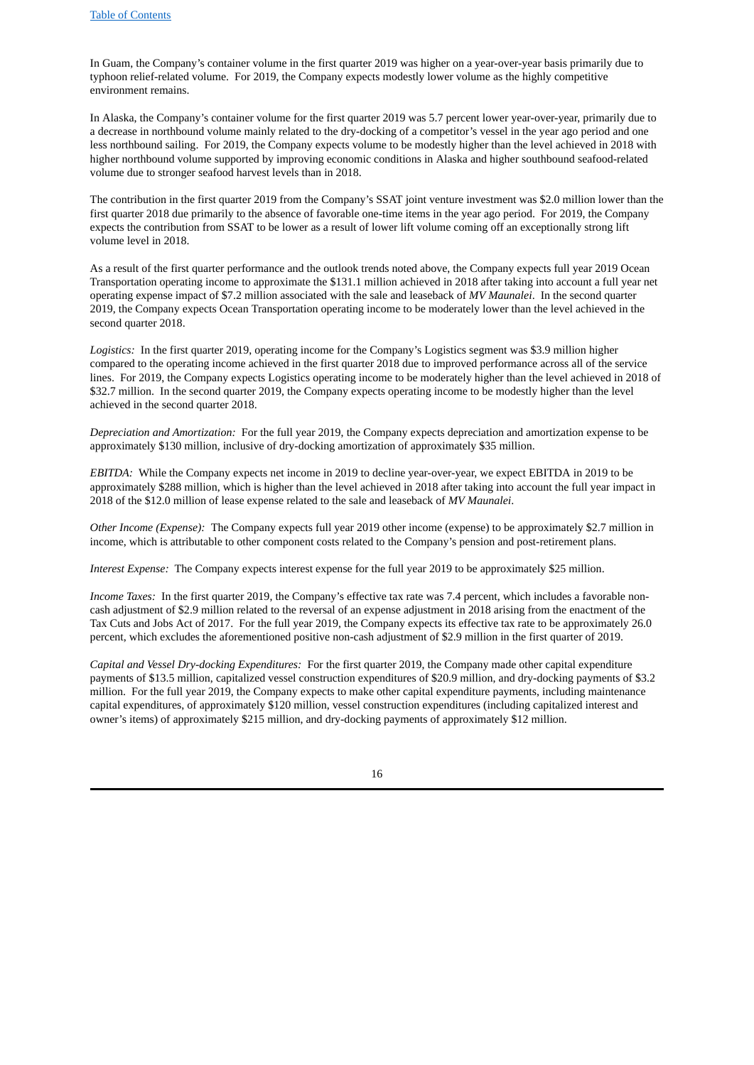In Guam, the Company's container volume in the first quarter 2019 was higher on a year-over-year basis primarily due to typhoon relief-related volume. For 2019, the Company expects modestly lower volume as the highly competitive environment remains.

In Alaska, the Company's container volume for the first quarter 2019 was 5.7 percent lower year-over-year, primarily due to a decrease in northbound volume mainly related to the dry-docking of a competitor's vessel in the year ago period and one less northbound sailing. For 2019, the Company expects volume to be modestly higher than the level achieved in 2018 with higher northbound volume supported by improving economic conditions in Alaska and higher southbound seafood-related volume due to stronger seafood harvest levels than in 2018.

The contribution in the first quarter 2019 from the Company's SSAT joint venture investment was \$2.0 million lower than the first quarter 2018 due primarily to the absence of favorable one-time items in the year ago period. For 2019, the Company expects the contribution from SSAT to be lower as a result of lower lift volume coming off an exceptionally strong lift volume level in 2018.

As a result of the first quarter performance and the outlook trends noted above, the Company expects full year 2019 Ocean Transportation operating income to approximate the \$131.1 million achieved in 2018 after taking into account a full year net operating expense impact of \$7.2 million associated with the sale and leaseback of *MV Maunalei*. In the second quarter 2019, the Company expects Ocean Transportation operating income to be moderately lower than the level achieved in the second quarter 2018.

*Logistics:* In the first quarter 2019, operating income for the Company's Logistics segment was \$3.9 million higher compared to the operating income achieved in the first quarter 2018 due to improved performance across all of the service lines. For 2019, the Company expects Logistics operating income to be moderately higher than the level achieved in 2018 of \$32.7 million. In the second quarter 2019, the Company expects operating income to be modestly higher than the level achieved in the second quarter 2018.

*Depreciation and Amortization:* For the full year 2019, the Company expects depreciation and amortization expense to be approximately \$130 million, inclusive of dry-docking amortization of approximately \$35 million.

*EBITDA:* While the Company expects net income in 2019 to decline year-over-year, we expect EBITDA in 2019 to be approximately \$288 million, which is higher than the level achieved in 2018 after taking into account the full year impact in 2018 of the \$12.0 million of lease expense related to the sale and leaseback of *MV Maunalei*.

*Other Income (Expense):* The Company expects full year 2019 other income (expense) to be approximately \$2.7 million in income, which is attributable to other component costs related to the Company's pension and post-retirement plans.

*Interest Expense:* The Company expects interest expense for the full year 2019 to be approximately \$25 million.

*Income Taxes:* In the first quarter 2019, the Company's effective tax rate was 7.4 percent, which includes a favorable noncash adjustment of \$2.9 million related to the reversal of an expense adjustment in 2018 arising from the enactment of the Tax Cuts and Jobs Act of 2017. For the full year 2019, the Company expects its effective tax rate to be approximately 26.0 percent, which excludes the aforementioned positive non-cash adjustment of \$2.9 million in the first quarter of 2019.

*Capital and Vessel Dry-docking Expenditures:* For the first quarter 2019, the Company made other capital expenditure payments of \$13.5 million, capitalized vessel construction expenditures of \$20.9 million, and dry-docking payments of \$3.2 million. For the full year 2019, the Company expects to make other capital expenditure payments, including maintenance capital expenditures, of approximately \$120 million, vessel construction expenditures (including capitalized interest and owner's items) of approximately \$215 million, and dry-docking payments of approximately \$12 million.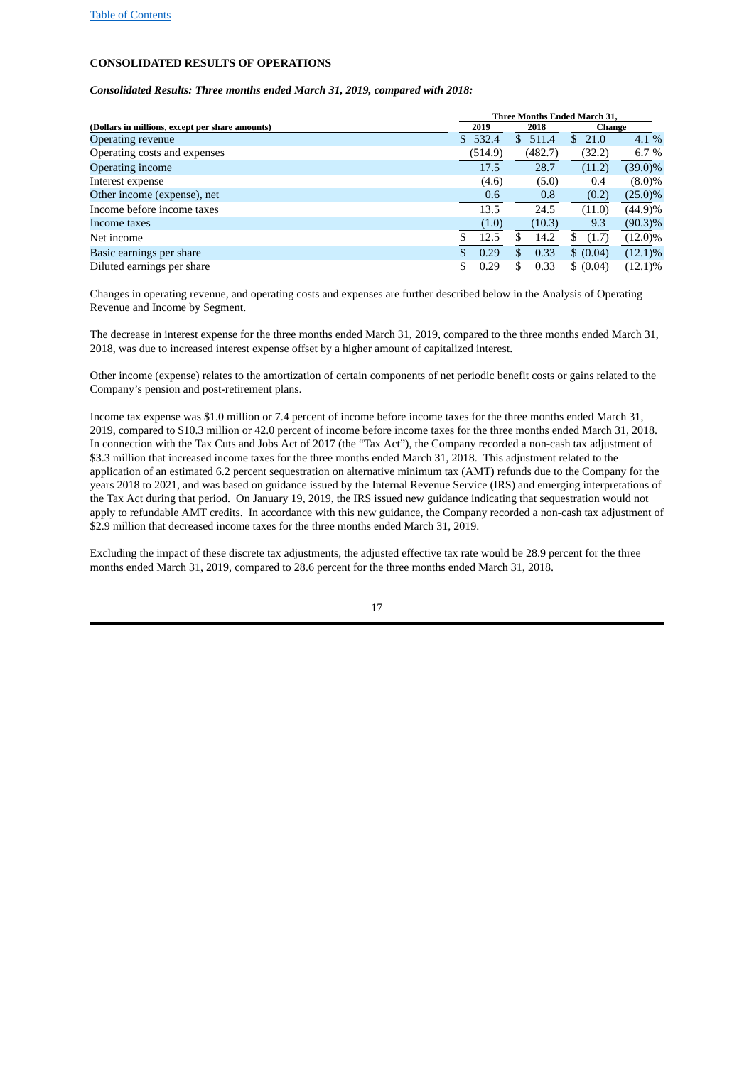## **CONSOLIDATED RESULTS OF OPERATIONS**

#### *Consolidated Results: Three months ended March 31, 2019, compared with 2018:*

|                                                 | <b>Three Months Ended March 31.</b> |         |     |         |        |           |            |
|-------------------------------------------------|-------------------------------------|---------|-----|---------|--------|-----------|------------|
| (Dollars in millions, except per share amounts) |                                     | 2019    |     | 2018    | Change |           |            |
| Operating revenue                               | $\mathbb{S}$                        | 532.4   | S.  | 511.4   |        | \$21.0    | 4.1 %      |
| Operating costs and expenses                    |                                     | (514.9) |     | (482.7) |        | (32.2)    | 6.7%       |
| Operating income                                |                                     | 17.5    |     | 28.7    |        | (11.2)    | $(39.0)\%$ |
| Interest expense                                |                                     | (4.6)   |     | (5.0)   |        | 0.4       | $(8.0)\%$  |
| Other income (expense), net                     |                                     | 0.6     |     | 0.8     |        | (0.2)     | $(25.0)\%$ |
| Income before income taxes                      |                                     | 13.5    |     | 24.5    |        | (11.0)    | (44.9)%    |
| Income taxes                                    |                                     | (1.0)   |     | (10.3)  |        | 9.3       | $(90.3)\%$ |
| Net income                                      | \$                                  | 12.5    | \$. | 14.2    | S.     | (1.7)     | $(12.0)\%$ |
| Basic earnings per share                        | \$                                  | 0.29    | \$  | 0.33    |        | \$ (0.04) | $(12.1)\%$ |
| Diluted earnings per share                      | \$                                  | 0.29    | \$  | 0.33    |        | \$ (0.04) | $(12.1)\%$ |

Changes in operating revenue, and operating costs and expenses are further described below in the Analysis of Operating Revenue and Income by Segment.

The decrease in interest expense for the three months ended March 31, 2019, compared to the three months ended March 31, 2018, was due to increased interest expense offset by a higher amount of capitalized interest.

Other income (expense) relates to the amortization of certain components of net periodic benefit costs or gains related to the Company's pension and post-retirement plans.

Income tax expense was \$1.0 million or 7.4 percent of income before income taxes for the three months ended March 31, 2019, compared to \$10.3 million or 42.0 percent of income before income taxes for the three months ended March 31, 2018. In connection with the Tax Cuts and Jobs Act of 2017 (the "Tax Act"), the Company recorded a non-cash tax adjustment of \$3.3 million that increased income taxes for the three months ended March 31, 2018. This adjustment related to the application of an estimated 6.2 percent sequestration on alternative minimum tax (AMT) refunds due to the Company for the years 2018 to 2021, and was based on guidance issued by the Internal Revenue Service (IRS) and emerging interpretations of the Tax Act during that period. On January 19, 2019, the IRS issued new guidance indicating that sequestration would not apply to refundable AMT credits. In accordance with this new guidance, the Company recorded a non-cash tax adjustment of \$2.9 million that decreased income taxes for the three months ended March 31, 2019.

Excluding the impact of these discrete tax adjustments, the adjusted effective tax rate would be 28.9 percent for the three months ended March 31, 2019, compared to 28.6 percent for the three months ended March 31, 2018.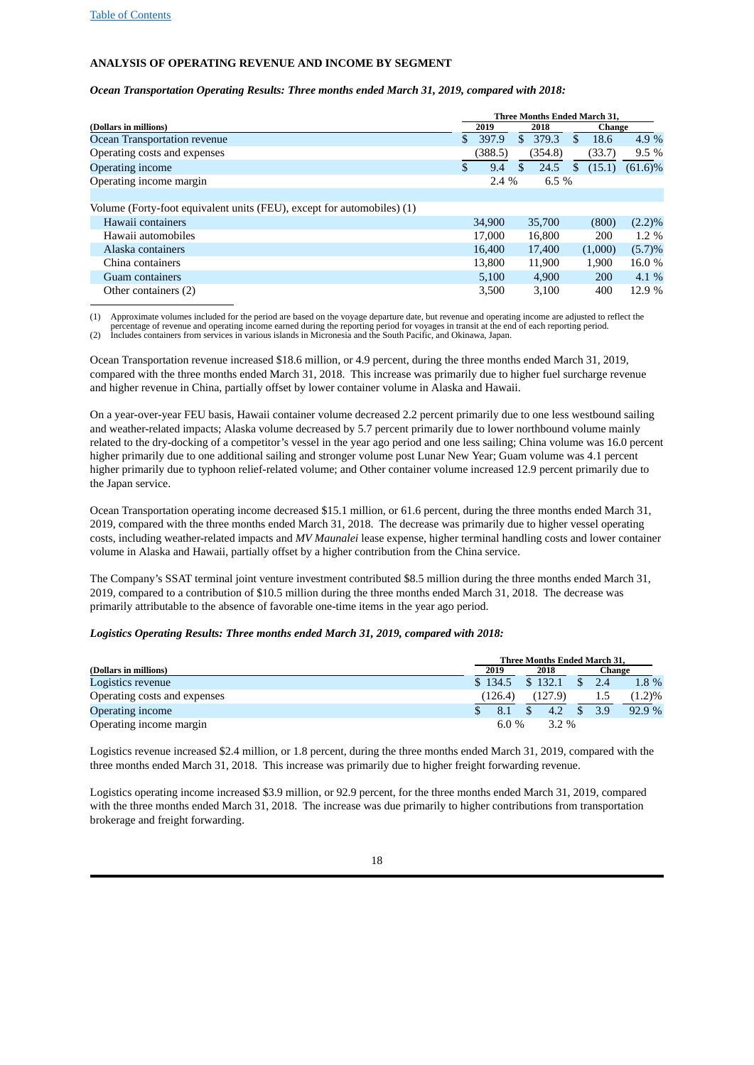## **ANALYSIS OF OPERATING REVENUE AND INCOME BY SEGMENT**

#### *Ocean Transportation Operating Results: Three months ended March 31, 2019, compared with 2018:*

|                                                                        | <b>Three Months Ended March 31.</b> |              |    |         |     |               |            |
|------------------------------------------------------------------------|-------------------------------------|--------------|----|---------|-----|---------------|------------|
| (Dollars in millions)                                                  |                                     | 2019<br>2018 |    |         |     | <b>Change</b> |            |
| Ocean Transportation revenue                                           | \$                                  | 397.9        | \$ | 379.3   | \$. | 18.6          | 4.9 %      |
| Operating costs and expenses                                           |                                     | (388.5)      |    | (354.8) |     | (33.7)        | 9.5%       |
| Operating income                                                       | \$.                                 | 9.4          | \$ | 24.5    | \$  | (15.1)        | $(61.6)\%$ |
| Operating income margin                                                |                                     | $2.4\%$      |    | 6.5 $%$ |     |               |            |
|                                                                        |                                     |              |    |         |     |               |            |
| Volume (Forty-foot equivalent units (FEU), except for automobiles) (1) |                                     |              |    |         |     |               |            |
| Hawaii containers                                                      |                                     | 34,900       |    | 35,700  |     | (800)         | $(2.2)\%$  |
| Hawaii automobiles                                                     |                                     | 17,000       |    | 16,800  |     | 200           | $1.2\%$    |
| Alaska containers                                                      |                                     | 16,400       |    | 17,400  |     | (1,000)       | (5.7)%     |
| China containers                                                       |                                     | 13.800       |    | 11.900  |     | 1,900         | 16.0 %     |
| Guam containers                                                        |                                     | 5,100        |    | 4.900   |     | 200           | 4.1 $%$    |
| Other containers (2)                                                   |                                     | 3,500        |    | 3,100   |     | 400           | 12.9 %     |

(1) Approximate volumes included for the period are based on the voyage departure date, but revenue and operating income are adjusted to reflect the percentage of revenue and operating income earned during the reporting period for voyages in transit at the end of each reporting period.

(2) Includes containers from services in various islands in Micronesia and the South Pacific, and Okinawa, Japan.

Ocean Transportation revenue increased \$18.6 million, or 4.9 percent, during the three months ended March 31, 2019, compared with the three months ended March 31, 2018. This increase was primarily due to higher fuel surcharge revenue and higher revenue in China, partially offset by lower container volume in Alaska and Hawaii.

On a year-over-year FEU basis, Hawaii container volume decreased 2.2 percent primarily due to one less westbound sailing and weather-related impacts; Alaska volume decreased by 5.7 percent primarily due to lower northbound volume mainly related to the dry-docking of a competitor's vessel in the year ago period and one less sailing; China volume was 16.0 percent higher primarily due to one additional sailing and stronger volume post Lunar New Year; Guam volume was 4.1 percent higher primarily due to typhoon relief-related volume; and Other container volume increased 12.9 percent primarily due to the Japan service.

Ocean Transportation operating income decreased \$15.1 million, or 61.6 percent, during the three months ended March 31, 2019, compared with the three months ended March 31, 2018. The decrease was primarily due to higher vessel operating costs, including weather-related impacts and *MV Maunalei* lease expense, higher terminal handling costs and lower container volume in Alaska and Hawaii, partially offset by a higher contribution from the China service.

The Company's SSAT terminal joint venture investment contributed \$8.5 million during the three months ended March 31, 2019, compared to a contribution of \$10.5 million during the three months ended March 31, 2018. The decrease was primarily attributable to the absence of favorable one-time items in the year ago period.

#### *Logistics Operating Results: Three months ended March 31, 2019, compared with 2018:*

|                              |         | Three Months Ended March 31, |  |        |         |  |        |
|------------------------------|---------|------------------------------|--|--------|---------|--|--------|
| (Dollars in millions)        | 2019    | 2018                         |  | Change |         |  |        |
| Logistics revenue            | \$134.5 | \$132.1                      |  |        | $1.8\%$ |  |        |
| Operating costs and expenses | (126.4) | (127.9)                      |  |        |         |  | (1.2)% |
| <b>Operating income</b>      | 8.1     | 4.2                          |  | 3.9    | 92.9%   |  |        |
| Operating income margin      | 6.0 \%  | $3.2\%$                      |  |        |         |  |        |

Logistics revenue increased \$2.4 million, or 1.8 percent, during the three months ended March 31, 2019, compared with the three months ended March 31, 2018. This increase was primarily due to higher freight forwarding revenue.

Logistics operating income increased \$3.9 million, or 92.9 percent, for the three months ended March 31, 2019, compared with the three months ended March 31, 2018. The increase was due primarily to higher contributions from transportation brokerage and freight forwarding.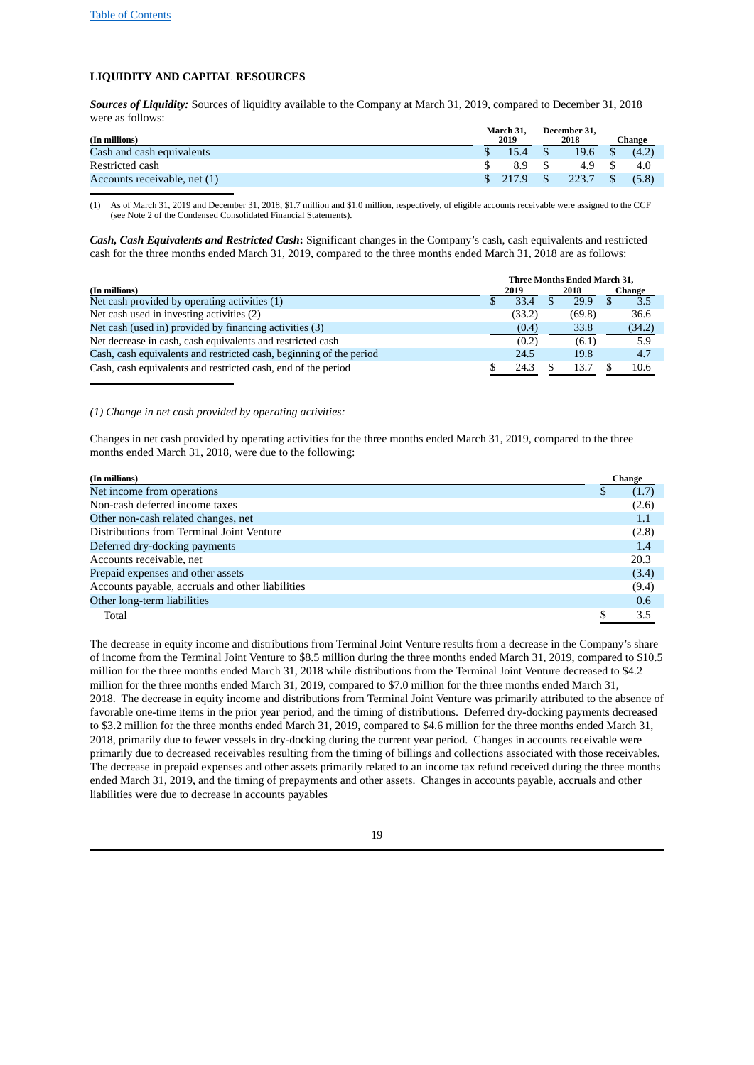# **LIQUIDITY AND CAPITAL RESOURCES**

*Sources of Liquidity:* Sources of liquidity available to the Company at March 31, 2019, compared to December 31, 2018 were as follows:

| (In millions)                | March 31.<br>2019 | December 31.<br>2018 | Change |
|------------------------------|-------------------|----------------------|--------|
| Cash and cash equivalents    | 15.4              | 19.6                 | (4.2)  |
| Restricted cash              | 8.9               |                      | 4.0    |
| Accounts receivable, net (1) | 217.9             | 223.7                | (5.8)  |

(1) As of March 31, 2019 and December 31, 2018, \$1.7 million and \$1.0 million, respectively, of eligible accounts receivable were assigned to the CCF (see Note 2 of the Condensed Consolidated Financial Statements).

*Cash, Cash Equivalents and Restricted Cash***:** Significant changes in the Company's cash, cash equivalents and restricted cash for the three months ended March 31, 2019, compared to the three months ended March 31, 2018 are as follows:

|                                                                     | Three Months Ended March 31. |        |      |        |  |        |  |
|---------------------------------------------------------------------|------------------------------|--------|------|--------|--|--------|--|
| (In millions)                                                       | 2019                         |        | 2018 |        |  | Change |  |
| Net cash provided by operating activities (1)                       |                              | 33.4   |      | 29.9   |  | 3.5    |  |
| Net cash used in investing activities (2)                           |                              | (33.2) |      | (69.8) |  | 36.6   |  |
| Net cash (used in) provided by financing activities (3)             |                              | (0.4)  |      | 33.8   |  | (34.2) |  |
| Net decrease in cash, cash equivalents and restricted cash          |                              | (0.2)  |      | (6.1)  |  | 5.9    |  |
| Cash, cash equivalents and restricted cash, beginning of the period |                              | 24.5   |      | 19.8   |  | 4.7    |  |
| Cash, cash equivalents and restricted cash, end of the period       |                              | 24.3   |      | 13.7   |  | 10.6   |  |

*(1) Change in net cash provided by operating activities:*

Changes in net cash provided by operating activities for the three months ended March 31, 2019, compared to the three months ended March 31, 2018, were due to the following:

| (In millions)                                    |          | Change |
|--------------------------------------------------|----------|--------|
| Net income from operations                       | <b>D</b> | (1.7)  |
| Non-cash deferred income taxes                   |          | (2.6)  |
| Other non-cash related changes, net              |          | 1.1    |
| Distributions from Terminal Joint Venture        |          | (2.8)  |
| Deferred dry-docking payments                    |          | 1.4    |
| Accounts receivable, net                         |          | 20.3   |
| Prepaid expenses and other assets                |          | (3.4)  |
| Accounts payable, accruals and other liabilities |          | (9.4)  |
| Other long-term liabilities                      |          | 0.6    |
| Total                                            |          | 3.5    |

The decrease in equity income and distributions from Terminal Joint Venture results from a decrease in the Company's share of income from the Terminal Joint Venture to \$8.5 million during the three months ended March 31, 2019, compared to \$10.5 million for the three months ended March 31, 2018 while distributions from the Terminal Joint Venture decreased to \$4.2 million for the three months ended March 31, 2019, compared to \$7.0 million for the three months ended March 31, 2018. The decrease in equity income and distributions from Terminal Joint Venture was primarily attributed to the absence of favorable one-time items in the prior year period, and the timing of distributions. Deferred dry-docking payments decreased to \$3.2 million for the three months ended March 31, 2019, compared to \$4.6 million for the three months ended March 31, 2018, primarily due to fewer vessels in dry-docking during the current year period. Changes in accounts receivable were primarily due to decreased receivables resulting from the timing of billings and collections associated with those receivables. The decrease in prepaid expenses and other assets primarily related to an income tax refund received during the three months ended March 31, 2019, and the timing of prepayments and other assets. Changes in accounts payable, accruals and other liabilities were due to decrease in accounts payables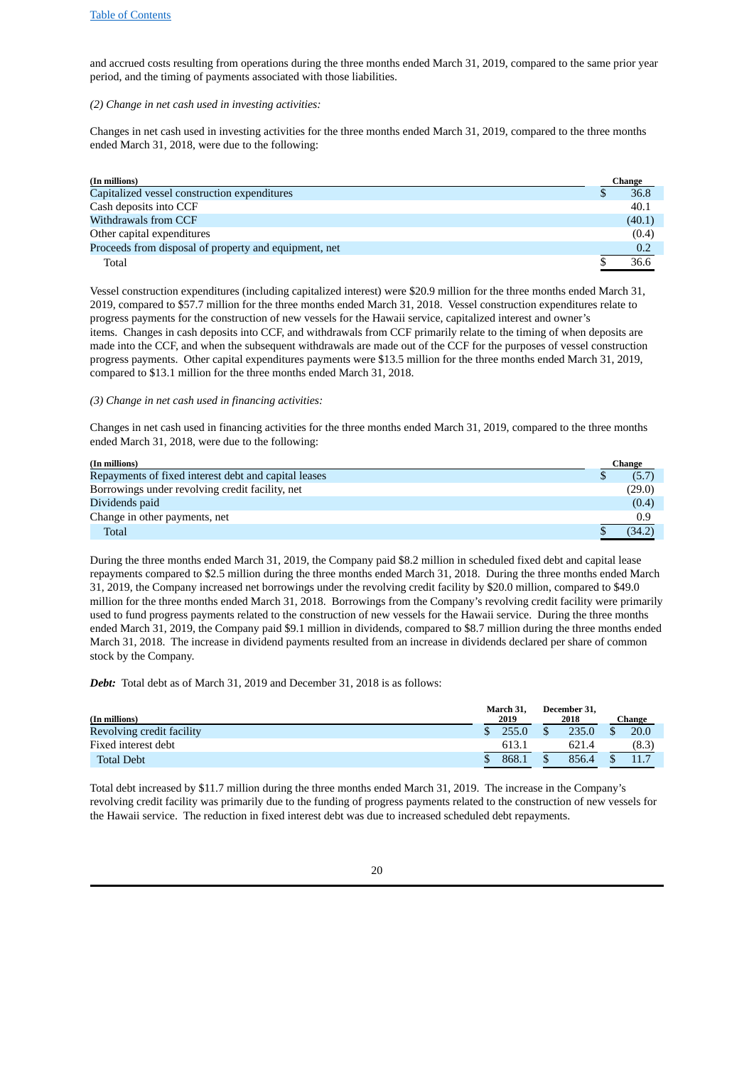and accrued costs resulting from operations during the three months ended March 31, 2019, compared to the same prior year period, and the timing of payments associated with those liabilities.

#### *(2) Change in net cash used in investing activities:*

Changes in net cash used in investing activities for the three months ended March 31, 2019, compared to the three months ended March 31, 2018, were due to the following:

| (In millions)                                         | Change |
|-------------------------------------------------------|--------|
| Capitalized vessel construction expenditures          | 36.8   |
| Cash deposits into CCF                                | 40.1   |
| Withdrawals from CCF                                  | (40.1) |
| Other capital expenditures                            | (0.4)  |
| Proceeds from disposal of property and equipment, net | 0.2    |
| Total                                                 | 36.6   |

Vessel construction expenditures (including capitalized interest) were \$20.9 million for the three months ended March 31, 2019, compared to \$57.7 million for the three months ended March 31, 2018. Vessel construction expenditures relate to progress payments for the construction of new vessels for the Hawaii service, capitalized interest and owner's items. Changes in cash deposits into CCF, and withdrawals from CCF primarily relate to the timing of when deposits are made into the CCF, and when the subsequent withdrawals are made out of the CCF for the purposes of vessel construction progress payments. Other capital expenditures payments were \$13.5 million for the three months ended March 31, 2019, compared to \$13.1 million for the three months ended March 31, 2018.

#### *(3) Change in net cash used in financing activities:*

Changes in net cash used in financing activities for the three months ended March 31, 2019, compared to the three months ended March 31, 2018, were due to the following:

| (In millions)                                        | Change |
|------------------------------------------------------|--------|
| Repayments of fixed interest debt and capital leases | (5.7)  |
| Borrowings under revolving credit facility, net      | (29.0) |
| Dividends paid                                       | (0.4)  |
| Change in other payments, net                        | 0.9    |
| Total                                                | (34.2) |

During the three months ended March 31, 2019, the Company paid \$8.2 million in scheduled fixed debt and capital lease repayments compared to \$2.5 million during the three months ended March 31, 2018. During the three months ended March 31, 2019, the Company increased net borrowings under the revolving credit facility by \$20.0 million, compared to \$49.0 million for the three months ended March 31, 2018. Borrowings from the Company's revolving credit facility were primarily used to fund progress payments related to the construction of new vessels for the Hawaii service. During the three months ended March 31, 2019, the Company paid \$9.1 million in dividends, compared to \$8.7 million during the three months ended March 31, 2018. The increase in dividend payments resulted from an increase in dividends declared per share of common stock by the Company.

*Debt:* Total debt as of March 31, 2019 and December 31, 2018 is as follows:

| (In millions)             | March 31,<br>2019 | December 31.<br>2018 | Change |       |  |
|---------------------------|-------------------|----------------------|--------|-------|--|
| Revolving credit facility | 255.0             | 235.0                |        | 20.0  |  |
| Fixed interest debt       | 613.1             | 621.4                |        | (8.3) |  |
| <b>Total Debt</b>         | 868.1             | 856.4                |        | 11.7  |  |

Total debt increased by \$11.7 million during the three months ended March 31, 2019. The increase in the Company's revolving credit facility was primarily due to the funding of progress payments related to the construction of new vessels for the Hawaii service. The reduction in fixed interest debt was due to increased scheduled debt repayments.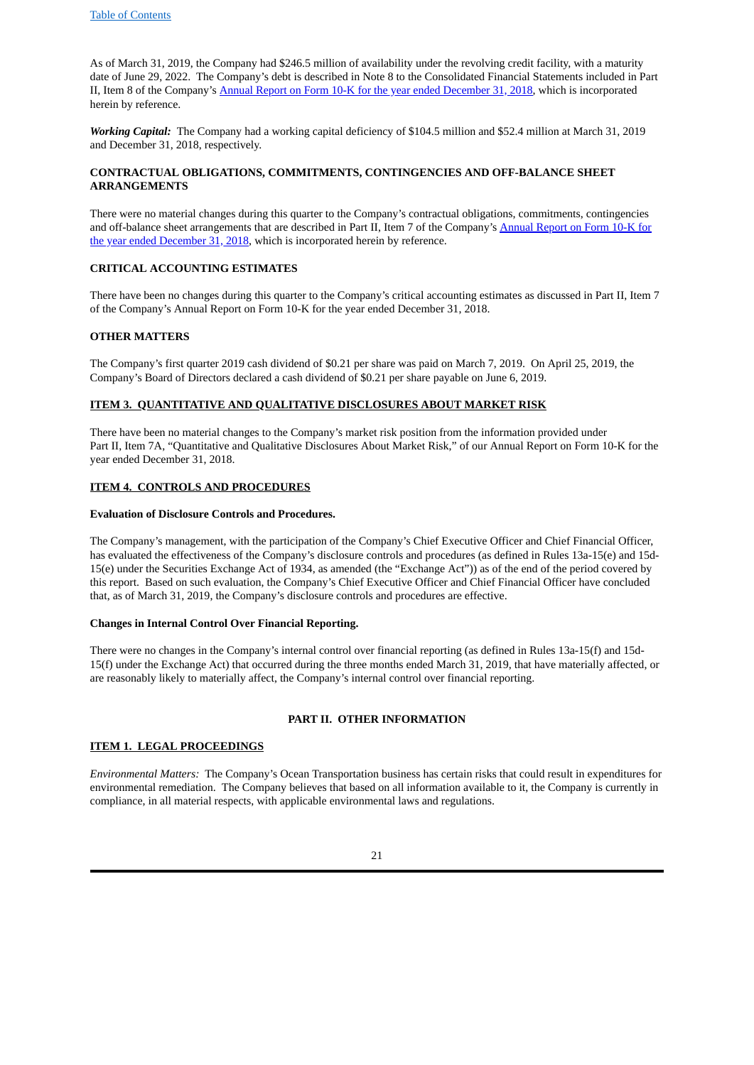As of March 31, 2019, the Company had \$246.5 million of availability under the revolving credit facility, with a maturity date of June 29, 2022. The Company's debt is described in Note 8 to the Consolidated Financial Statements included in Part II, Item 8 of the Company's Annual Report on Form 10-K for the year ended [December](http://www.sec.gov/Archives/edgar/data/3453/000155837019001448/matx-20181231x10k.htm) 31, 2018, which is incorporated herein by reference.

*Working Capital:* The Company had a working capital deficiency of \$104.5 million and \$52.4 million at March 31, 2019 and December 31, 2018, respectively.

# **CONTRACTUAL OBLIGATIONS, COMMITMENTS, CONTINGENCIES AND OFF-BALANCE SHEET ARRANGEMENTS**

There were no material changes during this quarter to the Company's contractual obligations, commitments, contingencies and off-balance sheet [arrangements](http://www.sec.gov/Archives/edgar/data/3453/000155837019001448/matx-20181231x10k.htm) that are described in Part II, Item 7 of the Company's Annual Report on Form 10-K for the year ended December 31, 2018, which is incorporated herein by reference.

#### **CRITICAL ACCOUNTING ESTIMATES**

There have been no changes during this quarter to the Company's critical accounting estimates as discussed in Part II, Item 7 of the Company's Annual Report on Form 10-K for the year ended December 31, 2018.

#### **OTHER MATTERS**

The Company's first quarter 2019 cash dividend of \$0.21 per share was paid on March 7, 2019. On April 25, 2019, the Company's Board of Directors declared a cash dividend of \$0.21 per share payable on June 6, 2019.

## **ITEM 3. QUANTITATIVE AND QUALITATIVE DISCLOSURES ABOUT MARKET RISK**

There have been no material changes to the Company's market risk position from the information provided under Part II, Item 7A, "Quantitative and Qualitative Disclosures About Market Risk," of our Annual Report on Form 10-K for the year ended December 31, 2018.

## <span id="page-22-1"></span>**ITEM 4. CONTROLS AND PROCEDURES**

#### **Evaluation of Disclosure Controls and Procedures.**

The Company's management, with the participation of the Company's Chief Executive Officer and Chief Financial Officer, has evaluated the effectiveness of the Company's disclosure controls and procedures (as defined in Rules 13a-15(e) and 15d-15(e) under the Securities Exchange Act of 1934, as amended (the "Exchange Act")) as of the end of the period covered by this report. Based on such evaluation, the Company's Chief Executive Officer and Chief Financial Officer have concluded that, as of March 31, 2019, the Company's disclosure controls and procedures are effective.

#### **Changes in Internal Control Over Financial Reporting.**

There were no changes in the Company's internal control over financial reporting (as defined in Rules 13a-15(f) and 15d-15(f) under the Exchange Act) that occurred during the three months ended March 31, 2019, that have materially affected, or are reasonably likely to materially affect, the Company's internal control over financial reporting.

#### <span id="page-22-3"></span><span id="page-22-0"></span>**PART II. OTHER INFORMATION**

## **ITEM 1. LEGAL PROCEEDINGS**

*Environmental Matters:* The Company's Ocean Transportation business has certain risks that could result in expenditures for environmental remediation. The Company believes that based on all information available to it, the Company is currently in compliance, in all material respects, with applicable environmental laws and regulations.

<span id="page-22-2"></span>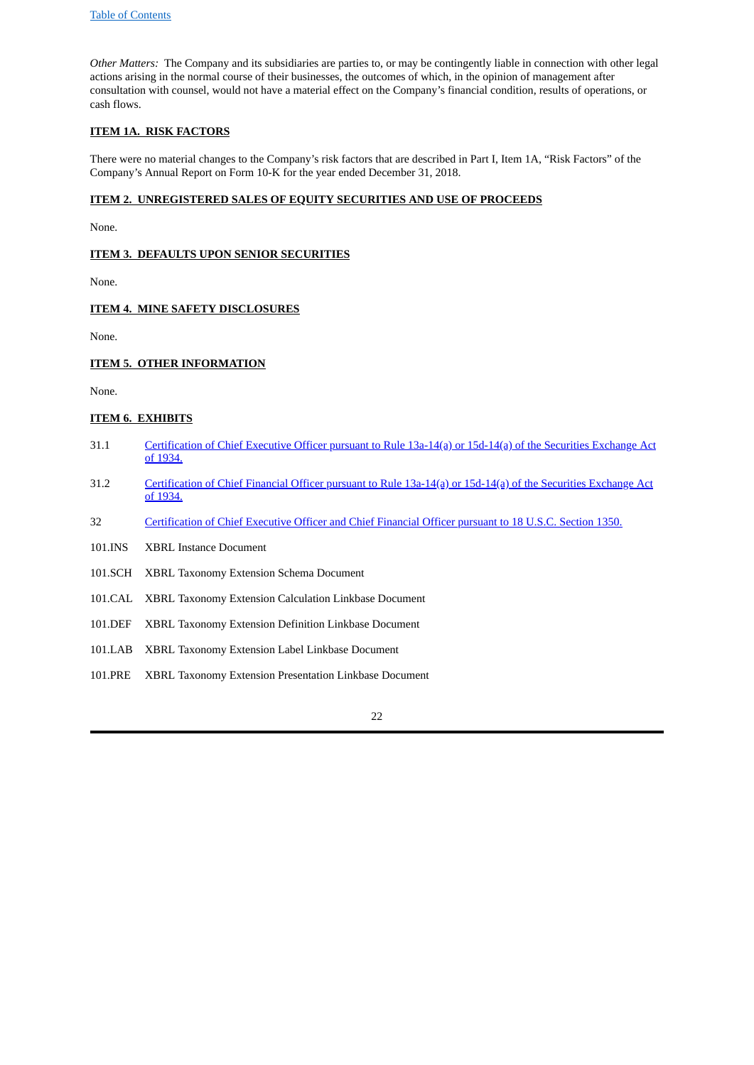*Other Matters:* The Company and its subsidiaries are parties to, or may be contingently liable in connection with other legal actions arising in the normal course of their businesses, the outcomes of which, in the opinion of management after consultation with counsel, would not have a material effect on the Company's financial condition, results of operations, or cash flows.

## <span id="page-23-0"></span>**ITEM 1A. RISK FACTORS**

There were no material changes to the Company's risk factors that are described in Part I, Item 1A, "Risk Factors" of the Company's Annual Report on Form 10-K for the year ended December 31, 2018.

## <span id="page-23-1"></span>**ITEM 2. UNREGISTERED SALES OF EQUITY SECURITIES AND USE OF PROCEEDS**

None.

## <span id="page-23-2"></span>**ITEM 3. DEFAULTS UPON SENIOR SECURITIES**

None.

## <span id="page-23-3"></span>**ITEM 4. MINE SAFETY DISCLOSURES**

None.

#### <span id="page-23-4"></span>**ITEM 5. OTHER INFORMATION**

None.

## <span id="page-23-5"></span>**ITEM 6. EXHIBITS**

- 31.1 [Certification](#page-25-0) of Chief Executive Officer pursuant to Rule 13a-14(a) or 15d-14(a) of the Securities Exchange Act of 1934.
- 31.2 [Certification](#page-26-0) of Chief Financial Officer pursuant to Rule 13a-14(a) or 15d-14(a) of the Securities Exchange Act of 1934.
- 32 [Certification](#page-27-0) of Chief Executive Officer and Chief Financial Officer pursuant to 18 U.S.C. Section 1350.
- 101.INS XBRL Instance Document
- 101.SCH XBRL Taxonomy Extension Schema Document
- 101.CAL XBRL Taxonomy Extension Calculation Linkbase Document
- 101.DEF XBRL Taxonomy Extension Definition Linkbase Document
- 101.LAB XBRL Taxonomy Extension Label Linkbase Document
- 101.PRE XBRL Taxonomy Extension Presentation Linkbase Document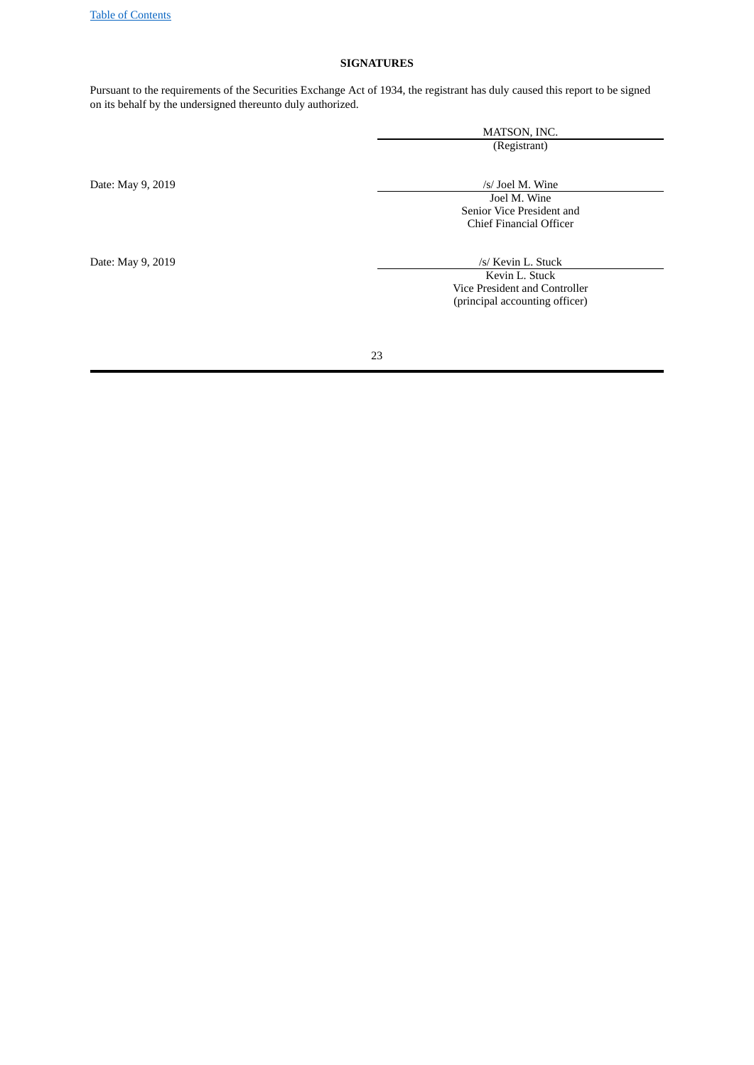# <span id="page-24-0"></span>**SIGNATURES**

Pursuant to the requirements of the Securities Exchange Act of 1934, the registrant has duly caused this report to be signed on its behalf by the undersigned thereunto duly authorized.

> MATSON, INC. (Registrant)

Date: May 9, 2019 /s/ Joel M. Wine

Joel M. Wine Senior Vice President and Chief Financial Officer

Date: May 9, 2019 /s/ Kevin L. Stuck

Kevin L. Stuck Vice President and Controller (principal accounting officer)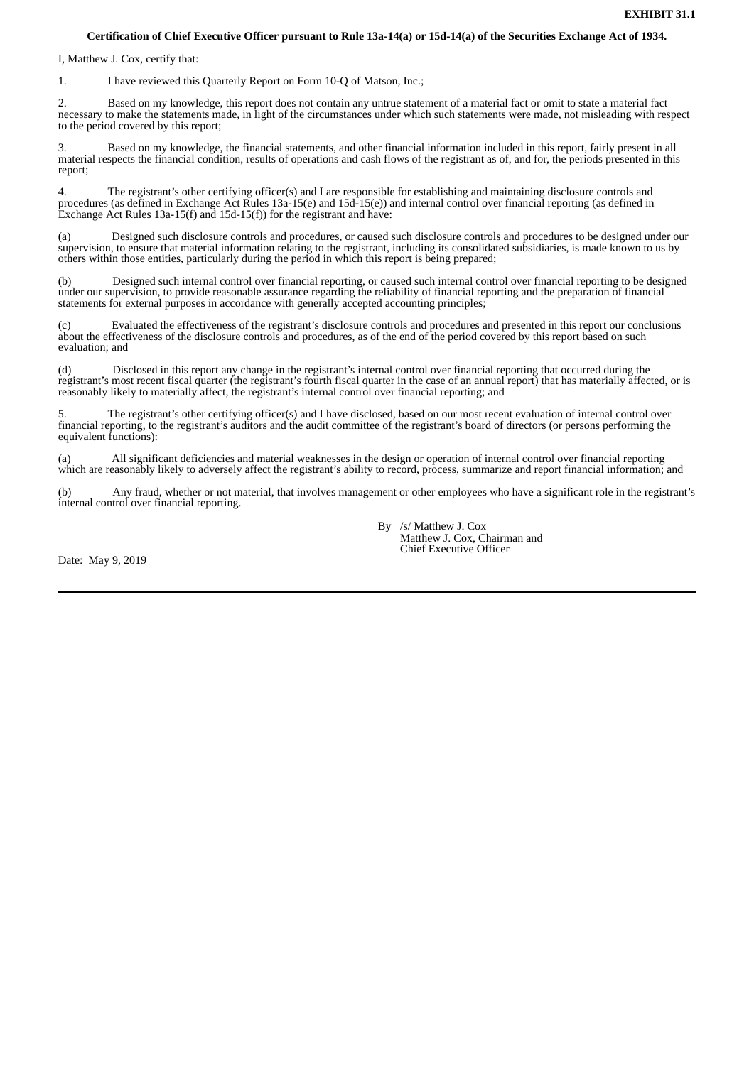#### Certification of Chief Executive Officer pursuant to Rule 13a-14(a) or 15d-14(a) of the Securities Exchange Act of 1934.

<span id="page-25-0"></span>I, Matthew J. Cox, certify that:

1. I have reviewed this Quarterly Report on Form 10-Q of Matson, Inc.;

2. Based on my knowledge, this report does not contain any untrue statement of a material fact or omit to state a material fact necessary to make the statements made, in light of the circumstances under which such statements were made, not misleading with respect to the period covered by this report;

3. Based on my knowledge, the financial statements, and other financial information included in this report, fairly present in all material respects the financial condition, results of operations and cash flows of the registrant as of, and for, the periods presented in this report;

4. The registrant's other certifying officer(s) and I are responsible for establishing and maintaining disclosure controls and procedures (as defined in Exchange Act Rules 13a-15(e) and 15d-15(e)) and internal control over financial reporting (as defined in Exchange Act Rules 13a-15(f) and 15d-15(f)) for the registrant and have:

(a) Designed such disclosure controls and procedures, or caused such disclosure controls and procedures to be designed under our supervision, to ensure that material information relating to the registrant, including its consolidated subsidiaries, is made known to us by others within those entities, particularly during the period in which this report is being prepared;

(b) Designed such internal control over financial reporting, or caused such internal control over financial reporting to be designed under our supervision, to provide reasonable assurance regarding the reliability of financial reporting and the preparation of financial statements for external purposes in accordance with generally accepted accounting principles;

(c) Evaluated the effectiveness of the registrant's disclosure controls and procedures and presented in this report our conclusions about the effectiveness of the disclosure controls and procedures, as of the end of the period covered by this report based on such evaluation; and

(d) Disclosed in this report any change in the registrant's internal control over financial reporting that occurred during the registrant's most recent fiscal quarter (the registrant's fourth fiscal quarter in the case of an annual report) that has materially affected, or is reasonably likely to materially affect, the registrant's internal control over financial reporting; and

The registrant's other certifying officer(s) and I have disclosed, based on our most recent evaluation of internal control over financial reporting, to the registrant's auditors and the audit committee of the registrant's board of directors (or persons performing the equivalent functions):

(a) All significant deficiencies and material weaknesses in the design or operation of internal control over financial reporting which are reasonably likely to adversely affect the registrant's ability to record, process, summarize and report financial information; and

Any fraud, whether or not material, that involves management or other employees who have a significant role in the registrant's internal control over financial reporting.

> By /s/ Matthew J. Cox Matthew J. Cox, Chairman and Chief Executive Officer

Date: May 9, 2019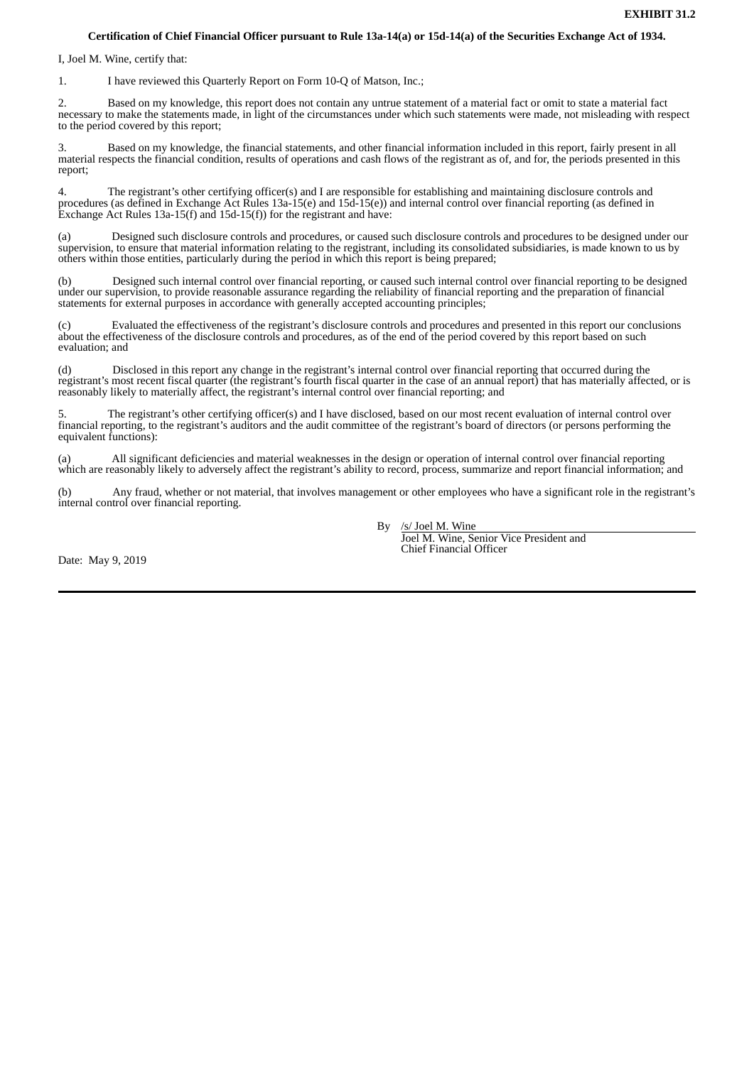#### Certification of Chief Financial Officer pursuant to Rule 13a-14(a) or 15d-14(a) of the Securities Exchange Act of 1934.

<span id="page-26-0"></span>I, Joel M. Wine, certify that:

1. I have reviewed this Quarterly Report on Form 10-Q of Matson, Inc.;

2. Based on my knowledge, this report does not contain any untrue statement of a material fact or omit to state a material fact necessary to make the statements made, in light of the circumstances under which such statements were made, not misleading with respect to the period covered by this report;

3. Based on my knowledge, the financial statements, and other financial information included in this report, fairly present in all material respects the financial condition, results of operations and cash flows of the registrant as of, and for, the periods presented in this report;

4. The registrant's other certifying officer(s) and I are responsible for establishing and maintaining disclosure controls and procedures (as defined in Exchange Act Rules 13a-15(e) and 15d-15(e)) and internal control over financial reporting (as defined in Exchange Act Rules 13a-15(f) and 15d-15(f)) for the registrant and have:

(a) Designed such disclosure controls and procedures, or caused such disclosure controls and procedures to be designed under our supervision, to ensure that material information relating to the registrant, including its consolidated subsidiaries, is made known to us by others within those entities, particularly during the period in which this report is being prepared;

(b) Designed such internal control over financial reporting, or caused such internal control over financial reporting to be designed under our supervision, to provide reasonable assurance regarding the reliability of financial reporting and the preparation of financial statements for external purposes in accordance with generally accepted accounting principles;

(c) Evaluated the effectiveness of the registrant's disclosure controls and procedures and presented in this report our conclusions about the effectiveness of the disclosure controls and procedures, as of the end of the period covered by this report based on such evaluation; and

(d) Disclosed in this report any change in the registrant's internal control over financial reporting that occurred during the registrant's most recent fiscal quarter (the registrant's fourth fiscal quarter in the case of an annual report) that has materially affected, or is reasonably likely to materially affect, the registrant's internal control over financial reporting; and

The registrant's other certifying officer(s) and I have disclosed, based on our most recent evaluation of internal control over financial reporting, to the registrant's auditors and the audit committee of the registrant's board of directors (or persons performing the equivalent functions):

(a) All significant deficiencies and material weaknesses in the design or operation of internal control over financial reporting which are reasonably likely to adversely affect the registrant's ability to record, process, summarize and report financial information; and

Any fraud, whether or not material, that involves management or other employees who have a significant role in the registrant's internal control over financial reporting.

> By /s/ Joel M. Wine Joel M. Wine, Senior Vice President and Chief Financial Officer

Date: May 9, 2019